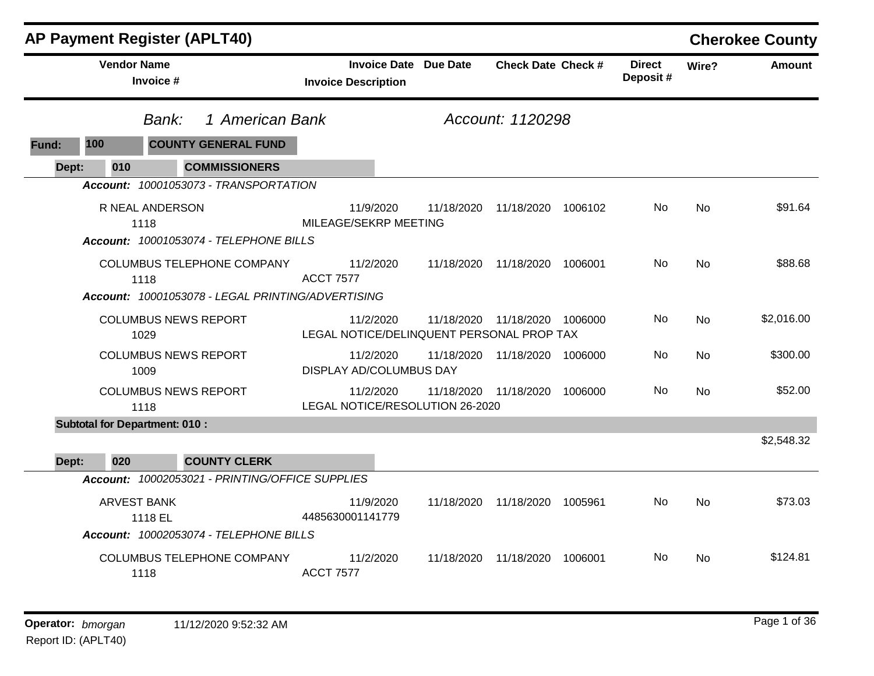|              |                    | <b>AP Payment Register (APLT40)</b>                                                                        |                                                            |            |                               |         |                            |           | <b>Cherokee County</b> |
|--------------|--------------------|------------------------------------------------------------------------------------------------------------|------------------------------------------------------------|------------|-------------------------------|---------|----------------------------|-----------|------------------------|
|              | <b>Vendor Name</b> | Invoice #                                                                                                  | <b>Invoice Date Due Date</b><br><b>Invoice Description</b> |            | <b>Check Date Check #</b>     |         | <b>Direct</b><br>Deposit # | Wire?     | <b>Amount</b>          |
|              |                    | 1 American Bank<br>Bank:                                                                                   |                                                            |            | Account: 1120298              |         |                            |           |                        |
| <b>Fund:</b> | 100                | <b>COUNTY GENERAL FUND</b>                                                                                 |                                                            |            |                               |         |                            |           |                        |
| Dept:        | 010                | <b>COMMISSIONERS</b>                                                                                       |                                                            |            |                               |         |                            |           |                        |
|              |                    | Account: 10001053073 - TRANSPORTATION<br>R NEAL ANDERSON<br>1118<br>Account: 10001053074 - TELEPHONE BILLS | 11/9/2020<br>MILEAGE/SEKRP MEETING                         | 11/18/2020 | 11/18/2020 1006102            |         | No.                        | No        | \$91.64                |
|              |                    | <b>COLUMBUS TELEPHONE COMPANY</b><br>1118<br>Account: 10001053078 - LEGAL PRINTING/ADVERTISING             | 11/2/2020<br><b>ACCT 7577</b>                              |            | 11/18/2020 11/18/2020 1006001 |         | No.                        | No        | \$88.68                |
|              |                    | <b>COLUMBUS NEWS REPORT</b><br>1029                                                                        | 11/2/2020<br>LEGAL NOTICE/DELINQUENT PERSONAL PROP TAX     | 11/18/2020 | 11/18/2020 1006000            |         | No.                        | <b>No</b> | \$2,016.00             |
|              |                    | <b>COLUMBUS NEWS REPORT</b><br>1009                                                                        | 11/2/2020<br><b>DISPLAY AD/COLUMBUS DAY</b>                | 11/18/2020 | 11/18/2020 1006000            |         | No.                        | No        | \$300.00               |
|              |                    | <b>COLUMBUS NEWS REPORT</b><br>1118                                                                        | 11/2/2020<br>LEGAL NOTICE/RESOLUTION 26-2020               | 11/18/2020 | 11/18/2020                    | 1006000 | No.                        | <b>No</b> | \$52.00                |
|              |                    | <b>Subtotal for Department: 010:</b>                                                                       |                                                            |            |                               |         |                            |           |                        |
| Dept:        | 020                | <b>COUNTY CLERK</b>                                                                                        |                                                            |            |                               |         |                            |           | \$2,548.32             |
|              |                    | Account: 10002053021 - PRINTING/OFFICE SUPPLIES                                                            |                                                            |            |                               |         |                            |           |                        |
|              |                    | <b>ARVEST BANK</b><br>1118 EL<br>Account: 10002053074 - TELEPHONE BILLS                                    | 11/9/2020<br>4485630001141779                              | 11/18/2020 | 11/18/2020                    | 1005961 | No.                        | <b>No</b> | \$73.03                |
|              |                    | <b>COLUMBUS TELEPHONE COMPANY</b><br>1118                                                                  | 11/2/2020<br><b>ACCT 7577</b>                              | 11/18/2020 | 11/18/2020                    | 1006001 | No.                        | <b>No</b> | \$124.81               |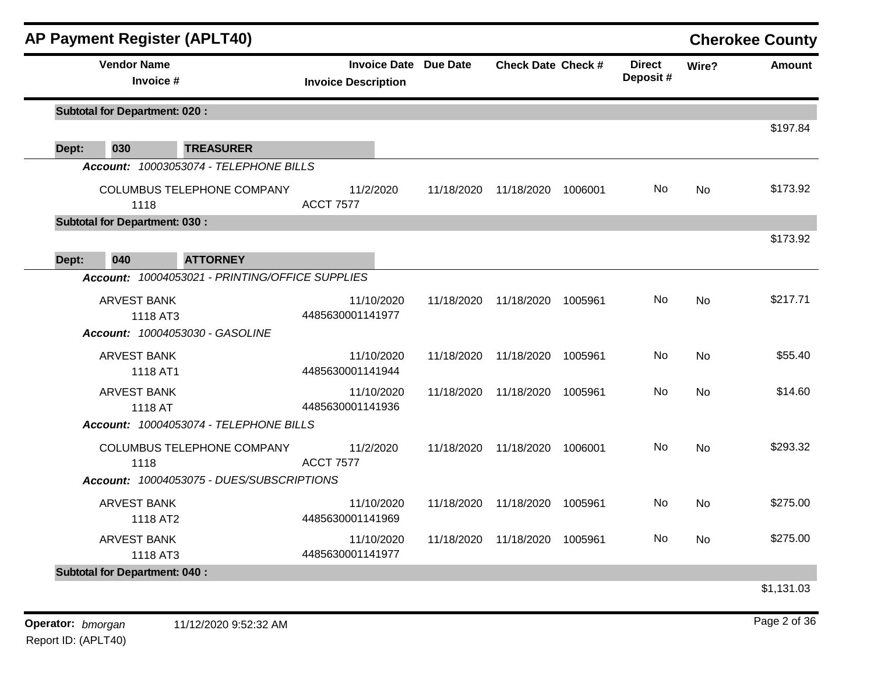|       | <b>AP Payment Register (APLT40)</b>  |                                                 |                                                            |            |                    |         |                           |           | <b>Cherokee County</b> |
|-------|--------------------------------------|-------------------------------------------------|------------------------------------------------------------|------------|--------------------|---------|---------------------------|-----------|------------------------|
|       | <b>Vendor Name</b><br>Invoice #      |                                                 | <b>Invoice Date Due Date</b><br><b>Invoice Description</b> |            | Check Date Check # |         | <b>Direct</b><br>Deposit# | Wire?     | <b>Amount</b>          |
|       | <b>Subtotal for Department: 020:</b> |                                                 |                                                            |            |                    |         |                           |           |                        |
| Dept: | 030                                  | <b>TREASURER</b>                                |                                                            |            |                    |         |                           |           | \$197.84               |
|       |                                      | Account: 10003053074 - TELEPHONE BILLS          |                                                            |            |                    |         |                           |           |                        |
|       | 1118                                 | COLUMBUS TELEPHONE COMPANY                      | 11/2/2020<br><b>ACCT 7577</b>                              | 11/18/2020 | 11/18/2020         | 1006001 | No                        | <b>No</b> | \$173.92               |
|       | <b>Subtotal for Department: 030:</b> |                                                 |                                                            |            |                    |         |                           |           |                        |
| Dept: | 040                                  | <b>ATTORNEY</b>                                 |                                                            |            |                    |         |                           |           | \$173.92               |
|       |                                      | Account: 10004053021 - PRINTING/OFFICE SUPPLIES |                                                            |            |                    |         |                           |           |                        |
|       | <b>ARVEST BANK</b><br>1118 AT3       | Account: 10004053030 - GASOLINE                 | 11/10/2020<br>4485630001141977                             | 11/18/2020 | 11/18/2020         | 1005961 | No.                       | <b>No</b> | \$217.71               |
|       | <b>ARVEST BANK</b><br>1118 AT1       |                                                 | 11/10/2020<br>4485630001141944                             | 11/18/2020 | 11/18/2020         | 1005961 | No                        | <b>No</b> | \$55.40                |
|       | <b>ARVEST BANK</b><br>1118 AT        |                                                 | 11/10/2020<br>4485630001141936                             | 11/18/2020 | 11/18/2020         | 1005961 | No.                       | No        | \$14.60                |
|       |                                      | Account: 10004053074 - TELEPHONE BILLS          |                                                            |            |                    |         |                           |           |                        |
|       | 1118                                 | COLUMBUS TELEPHONE COMPANY                      | 11/2/2020<br><b>ACCT 7577</b>                              | 11/18/2020 | 11/18/2020         | 1006001 | No                        | <b>No</b> | \$293.32               |
|       |                                      | Account: 10004053075 - DUES/SUBSCRIPTIONS       |                                                            |            |                    |         |                           |           |                        |
|       | <b>ARVEST BANK</b><br>1118 AT2       |                                                 | 11/10/2020<br>4485630001141969                             | 11/18/2020 | 11/18/2020         | 1005961 | No.                       | <b>No</b> | \$275.00               |
|       | <b>ARVEST BANK</b><br>1118 AT3       |                                                 | 11/10/2020<br>4485630001141977                             | 11/18/2020 | 11/18/2020         | 1005961 | No.                       | <b>No</b> | \$275.00               |
|       | <b>Subtotal for Department: 040:</b> |                                                 |                                                            |            |                    |         |                           |           |                        |
|       |                                      |                                                 |                                                            |            |                    |         |                           |           | \$1,131.03             |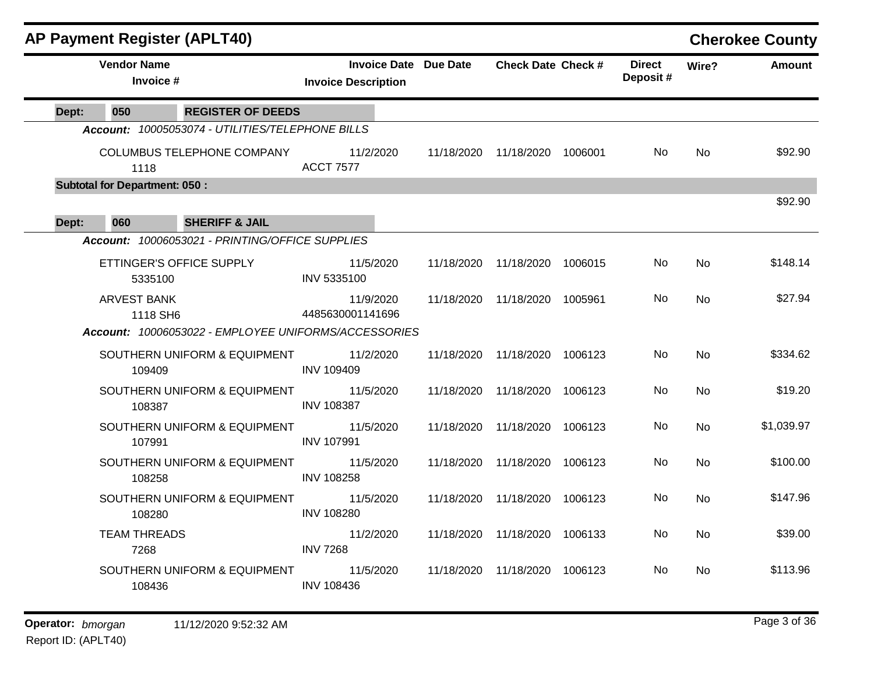|       |                                      | <b>AP Payment Register (APLT40)</b>                  |                                |                              |                               |         |                           |           | <b>Cherokee County</b> |
|-------|--------------------------------------|------------------------------------------------------|--------------------------------|------------------------------|-------------------------------|---------|---------------------------|-----------|------------------------|
|       | <b>Vendor Name</b><br>Invoice #      |                                                      | <b>Invoice Description</b>     | <b>Invoice Date Due Date</b> | <b>Check Date Check #</b>     |         | <b>Direct</b><br>Deposit# | Wire?     | <b>Amount</b>          |
| Dept: | 050                                  | <b>REGISTER OF DEEDS</b>                             |                                |                              |                               |         |                           |           |                        |
|       |                                      | Account: 10005053074 - UTILITIES/TELEPHONE BILLS     |                                |                              |                               |         |                           |           |                        |
|       | 1118                                 | COLUMBUS TELEPHONE COMPANY                           | 11/2/2020<br><b>ACCT 7577</b>  | 11/18/2020                   | 11/18/2020 1006001            |         | No.                       | No        | \$92.90                |
|       | <b>Subtotal for Department: 050:</b> |                                                      |                                |                              |                               |         |                           |           |                        |
| Dept: | 060                                  | <b>SHERIFF &amp; JAIL</b>                            |                                |                              |                               |         |                           |           | \$92.90                |
|       |                                      | Account: 10006053021 - PRINTING/OFFICE SUPPLIES      |                                |                              |                               |         |                           |           |                        |
|       | 5335100                              | ETTINGER'S OFFICE SUPPLY                             | 11/5/2020<br>INV 5335100       | 11/18/2020                   | 11/18/2020 1006015            |         | No                        | <b>No</b> | \$148.14               |
|       | <b>ARVEST BANK</b><br>1118 SH6       |                                                      | 11/9/2020<br>4485630001141696  |                              | 11/18/2020 11/18/2020 1005961 |         | No                        | <b>No</b> | \$27.94                |
|       |                                      | Account: 10006053022 - EMPLOYEE UNIFORMS/ACCESSORIES |                                |                              |                               |         |                           |           |                        |
|       | 109409                               | SOUTHERN UNIFORM & EQUIPMENT                         | 11/2/2020<br><b>INV 109409</b> | 11/18/2020                   | 11/18/2020                    | 1006123 | No                        | <b>No</b> | \$334.62               |
|       | 108387                               | SOUTHERN UNIFORM & EQUIPMENT                         | 11/5/2020<br><b>INV 108387</b> | 11/18/2020                   | 11/18/2020                    | 1006123 | No                        | <b>No</b> | \$19.20                |
|       | 107991                               | SOUTHERN UNIFORM & EQUIPMENT                         | 11/5/2020<br><b>INV 107991</b> | 11/18/2020                   | 11/18/2020                    | 1006123 | No                        | No        | \$1,039.97             |
|       | 108258                               | SOUTHERN UNIFORM & EQUIPMENT                         | 11/5/2020<br><b>INV 108258</b> | 11/18/2020                   | 11/18/2020                    | 1006123 | No                        | <b>No</b> | \$100.00               |
|       | 108280                               | SOUTHERN UNIFORM & EQUIPMENT                         | 11/5/2020<br><b>INV 108280</b> | 11/18/2020                   | 11/18/2020 1006123            |         | No                        | <b>No</b> | \$147.96               |
|       | <b>TEAM THREADS</b><br>7268          |                                                      | 11/2/2020<br><b>INV 7268</b>   | 11/18/2020                   | 11/18/2020                    | 1006133 | No                        | <b>No</b> | \$39.00                |
|       | 108436                               | SOUTHERN UNIFORM & EQUIPMENT                         | 11/5/2020<br><b>INV 108436</b> | 11/18/2020                   | 11/18/2020 1006123            |         | No.                       | No        | \$113.96               |
|       |                                      |                                                      |                                |                              |                               |         |                           |           |                        |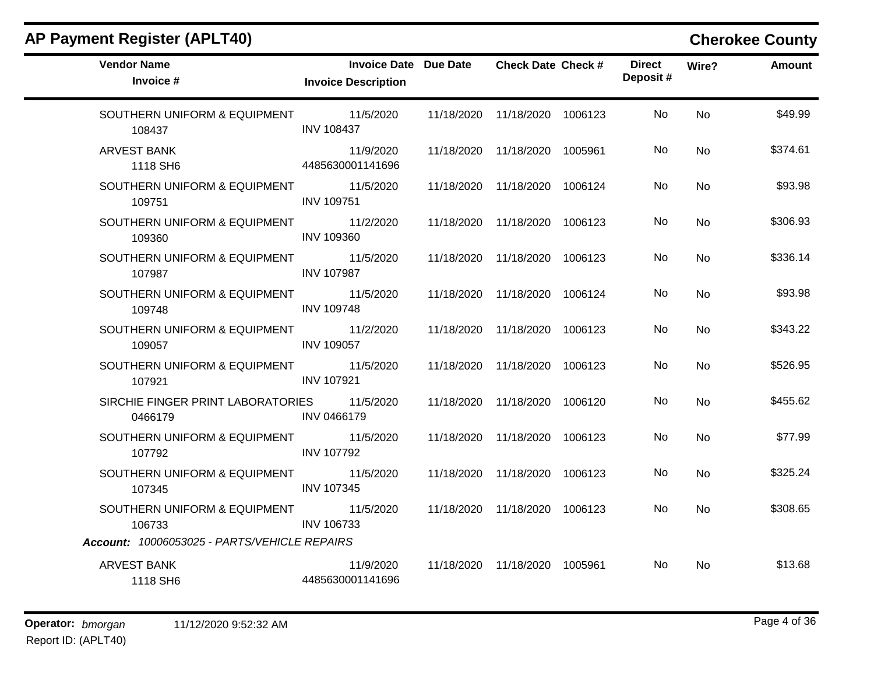|  |  |  | <b>AP Payment Register (APLT40)</b> |
|--|--|--|-------------------------------------|
|--|--|--|-------------------------------------|

### **Cherokee County**

| <b>Vendor Name</b><br>Invoice #                        | <b>Invoice Date Due Date</b><br><b>Invoice Description</b> | <b>Check Date Check #</b>       | <b>Direct</b><br>Deposit# | Wire?     | <b>Amount</b> |
|--------------------------------------------------------|------------------------------------------------------------|---------------------------------|---------------------------|-----------|---------------|
| SOUTHERN UNIFORM & EQUIPMENT 11/5/2020<br>108437       | <b>INV 108437</b>                                          | 11/18/2020 11/18/2020 1006123   | No.                       | <b>No</b> | \$49.99       |
| <b>ARVEST BANK</b><br>1118 SH6                         | 11/9/2020<br>4485630001141696                              | 11/18/2020  11/18/2020  1005961 | No.                       | <b>No</b> | \$374.61      |
| SOUTHERN UNIFORM & EQUIPMENT 11/5/2020<br>109751       | <b>INV 109751</b>                                          | 11/18/2020 11/18/2020 1006124   | No.                       | <b>No</b> | \$93.98       |
| SOUTHERN UNIFORM & EQUIPMENT 11/2/2020<br>109360       | <b>INV 109360</b>                                          | 11/18/2020 11/18/2020 1006123   | No                        | <b>No</b> | \$306.93      |
| SOUTHERN UNIFORM & EQUIPMENT 11/5/2020<br>107987       | <b>INV 107987</b>                                          | 11/18/2020 11/18/2020 1006123   | No.                       | <b>No</b> | \$336.14      |
| SOUTHERN UNIFORM & EQUIPMENT<br>109748                 | 11/5/2020<br><b>INV 109748</b>                             | 11/18/2020 11/18/2020 1006124   | No.                       | <b>No</b> | \$93.98       |
| SOUTHERN UNIFORM & EQUIPMENT 11/2/2020<br>109057       | <b>INV 109057</b>                                          | 11/18/2020 11/18/2020 1006123   | No.                       | <b>No</b> | \$343.22      |
| SOUTHERN UNIFORM & EQUIPMENT<br>107921                 | 11/5/2020<br><b>INV 107921</b>                             | 11/18/2020 11/18/2020 1006123   | No.                       | <b>No</b> | \$526.95      |
| SIRCHIE FINGER PRINT LABORATORIES 11/5/2020<br>0466179 | <b>INV 0466179</b>                                         | 11/18/2020 11/18/2020 1006120   | No.                       | <b>No</b> | \$455.62      |
| SOUTHERN UNIFORM & EQUIPMENT<br>107792                 | 11/5/2020<br><b>INV 107792</b>                             | 11/18/2020 11/18/2020 1006123   | No.                       | <b>No</b> | \$77.99       |
| SOUTHERN UNIFORM & EQUIPMENT 11/5/2020<br>107345       | <b>INV 107345</b>                                          | 11/18/2020 11/18/2020 1006123   | No.                       | <b>No</b> | \$325.24      |
| SOUTHERN UNIFORM & EQUIPMENT 11/5/2020<br>106733       | <b>INV 106733</b>                                          | 11/18/2020 11/18/2020 1006123   | No.                       | <b>No</b> | \$308.65      |
| Account: 10006053025 - PARTS/VEHICLE REPAIRS           |                                                            |                                 |                           |           |               |
| <b>ARVEST BANK</b><br>1118 SH6                         | 11/9/2020<br>4485630001141696                              | 11/18/2020  11/18/2020  1005961 | No.                       | <b>No</b> | \$13.68       |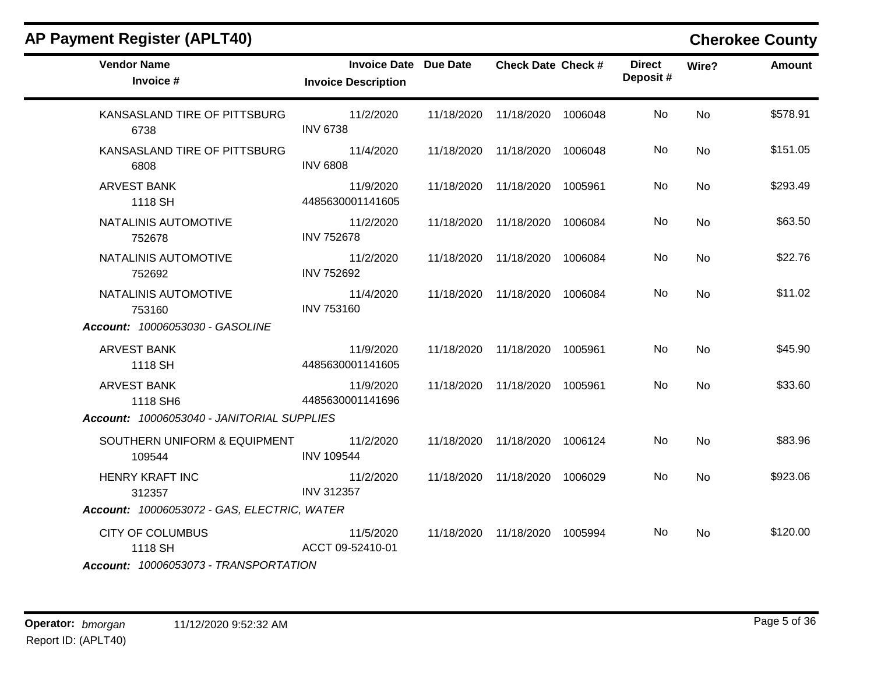| <b>Invoice Description</b>     |                                                                                                                                                                    |                              | <b>Direct</b><br>Deposit#                                                                                                                                                                                                                                                                                                                                                                              | Wire?     | <b>Amount</b> |
|--------------------------------|--------------------------------------------------------------------------------------------------------------------------------------------------------------------|------------------------------|--------------------------------------------------------------------------------------------------------------------------------------------------------------------------------------------------------------------------------------------------------------------------------------------------------------------------------------------------------------------------------------------------------|-----------|---------------|
| 11/2/2020<br><b>INV 6738</b>   |                                                                                                                                                                    |                              | No.                                                                                                                                                                                                                                                                                                                                                                                                    | <b>No</b> | \$578.91      |
| 11/4/2020<br><b>INV 6808</b>   |                                                                                                                                                                    |                              | No                                                                                                                                                                                                                                                                                                                                                                                                     | No        | \$151.05      |
| 11/9/2020<br>4485630001141605  |                                                                                                                                                                    |                              | No                                                                                                                                                                                                                                                                                                                                                                                                     | No        | \$293.49      |
| 11/2/2020<br><b>INV 752678</b> |                                                                                                                                                                    |                              | No                                                                                                                                                                                                                                                                                                                                                                                                     | <b>No</b> | \$63.50       |
| 11/2/2020<br><b>INV 752692</b> |                                                                                                                                                                    |                              | No                                                                                                                                                                                                                                                                                                                                                                                                     | No        | \$22.76       |
| 11/4/2020<br><b>INV 753160</b> |                                                                                                                                                                    |                              | No                                                                                                                                                                                                                                                                                                                                                                                                     | No        | \$11.02       |
|                                |                                                                                                                                                                    |                              |                                                                                                                                                                                                                                                                                                                                                                                                        |           |               |
| 11/9/2020<br>4485630001141605  |                                                                                                                                                                    |                              | No                                                                                                                                                                                                                                                                                                                                                                                                     | No        | \$45.90       |
| 11/9/2020<br>4485630001141696  |                                                                                                                                                                    |                              | No                                                                                                                                                                                                                                                                                                                                                                                                     | <b>No</b> | \$33.60       |
|                                |                                                                                                                                                                    |                              |                                                                                                                                                                                                                                                                                                                                                                                                        |           |               |
| 11/2/2020<br><b>INV 109544</b> |                                                                                                                                                                    |                              | No                                                                                                                                                                                                                                                                                                                                                                                                     | <b>No</b> | \$83.96       |
| 11/2/2020<br><b>INV 312357</b> |                                                                                                                                                                    |                              | No                                                                                                                                                                                                                                                                                                                                                                                                     | <b>No</b> | \$923.06      |
|                                |                                                                                                                                                                    |                              |                                                                                                                                                                                                                                                                                                                                                                                                        |           |               |
| 11/5/2020<br>ACCT 09-52410-01  |                                                                                                                                                                    |                              | No                                                                                                                                                                                                                                                                                                                                                                                                     | No        | \$120.00      |
|                                | Account: 10006053040 - JANITORIAL SUPPLIES<br>SOUTHERN UNIFORM & EQUIPMENT<br>Account: 10006053072 - GAS, ELECTRIC, WATER<br>Account: 10006053073 - TRANSPORTATION | <b>Invoice Date Due Date</b> | <b>Check Date Check #</b><br>11/18/2020 11/18/2020 1006048<br>11/18/2020 11/18/2020 1006048<br>11/18/2020 11/18/2020 1005961<br>11/18/2020 11/18/2020 1006084<br>11/18/2020 11/18/2020 1006084<br>11/18/2020 11/18/2020 1006084<br>11/18/2020  11/18/2020  1005961<br>11/18/2020 11/18/2020 1005961<br>11/18/2020 11/18/2020 1006124<br>11/18/2020 11/18/2020 1006029<br>11/18/2020 11/18/2020 1005994 |           |               |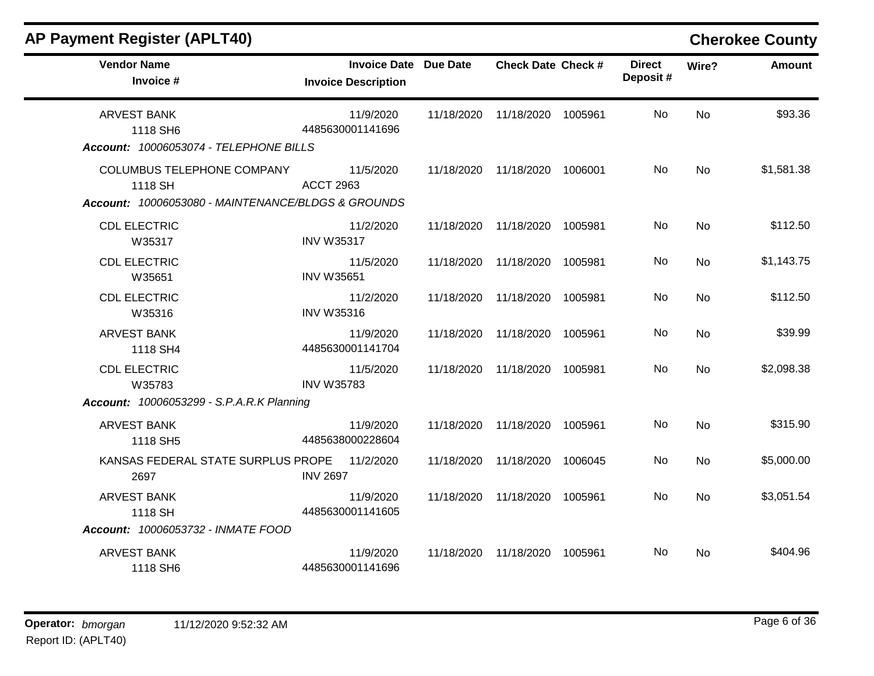| <b>AP Payment Register (APLT40)</b>                                                                |                                                            |            |                           |         |                           |           | <b>Cherokee County</b> |
|----------------------------------------------------------------------------------------------------|------------------------------------------------------------|------------|---------------------------|---------|---------------------------|-----------|------------------------|
| <b>Vendor Name</b><br>Invoice #                                                                    | <b>Invoice Date Due Date</b><br><b>Invoice Description</b> |            | <b>Check Date Check #</b> |         | <b>Direct</b><br>Deposit# | Wire?     | <b>Amount</b>          |
| <b>ARVEST BANK</b><br>1118 SH6<br>Account: 10006053074 - TELEPHONE BILLS                           | 11/9/2020<br>4485630001141696                              | 11/18/2020 | 11/18/2020 1005961        |         | <b>No</b>                 | <b>No</b> | \$93.36                |
| <b>COLUMBUS TELEPHONE COMPANY</b><br>1118 SH<br>Account: 10006053080 - MAINTENANCE/BLDGS & GROUNDS | 11/5/2020<br><b>ACCT 2963</b>                              | 11/18/2020 | 11/18/2020 1006001        |         | No                        | <b>No</b> | \$1,581.38             |
| <b>CDL ELECTRIC</b><br>W35317                                                                      | 11/2/2020<br><b>INV W35317</b>                             | 11/18/2020 | 11/18/2020                | 1005981 | No                        | <b>No</b> | \$112.50               |
| <b>CDL ELECTRIC</b><br>W35651                                                                      | 11/5/2020<br><b>INV W35651</b>                             | 11/18/2020 | 11/18/2020                | 1005981 | No.                       | No        | \$1,143.75             |
| <b>CDL ELECTRIC</b><br>W35316                                                                      | 11/2/2020<br><b>INV W35316</b>                             | 11/18/2020 | 11/18/2020                | 1005981 | No                        | <b>No</b> | \$112.50               |
| <b>ARVEST BANK</b><br>1118 SH4                                                                     | 11/9/2020<br>4485630001141704                              | 11/18/2020 | 11/18/2020                | 1005961 | No.                       | No        | \$39.99                |
| <b>CDL ELECTRIC</b><br>W35783                                                                      | 11/5/2020<br><b>INV W35783</b>                             | 11/18/2020 | 11/18/2020                | 1005981 | No                        | No        | \$2,098.38             |
| <b>Account: 10006053299 - S.P.A.R.K Planning</b>                                                   |                                                            |            |                           |         |                           |           |                        |
| <b>ARVEST BANK</b><br>1118 SH5                                                                     | 11/9/2020<br>4485638000228604                              | 11/18/2020 | 11/18/2020                | 1005961 | No                        | <b>No</b> | \$315.90               |
| KANSAS FEDERAL STATE SURPLUS PROPE<br>2697                                                         | 11/2/2020<br><b>INV 2697</b>                               | 11/18/2020 | 11/18/2020                | 1006045 | <b>No</b>                 | <b>No</b> | \$5,000.00             |
| <b>ARVEST BANK</b><br>1118 SH<br>Account: 10006053732 - INMATE FOOD                                | 11/9/2020<br>4485630001141605                              | 11/18/2020 | 11/18/2020                | 1005961 | <b>No</b>                 | <b>No</b> | \$3,051.54             |
| <b>ARVEST BANK</b><br>1118 SH6                                                                     | 11/9/2020<br>4485630001141696                              | 11/18/2020 | 11/18/2020                | 1005961 | No.                       | No        | \$404.96               |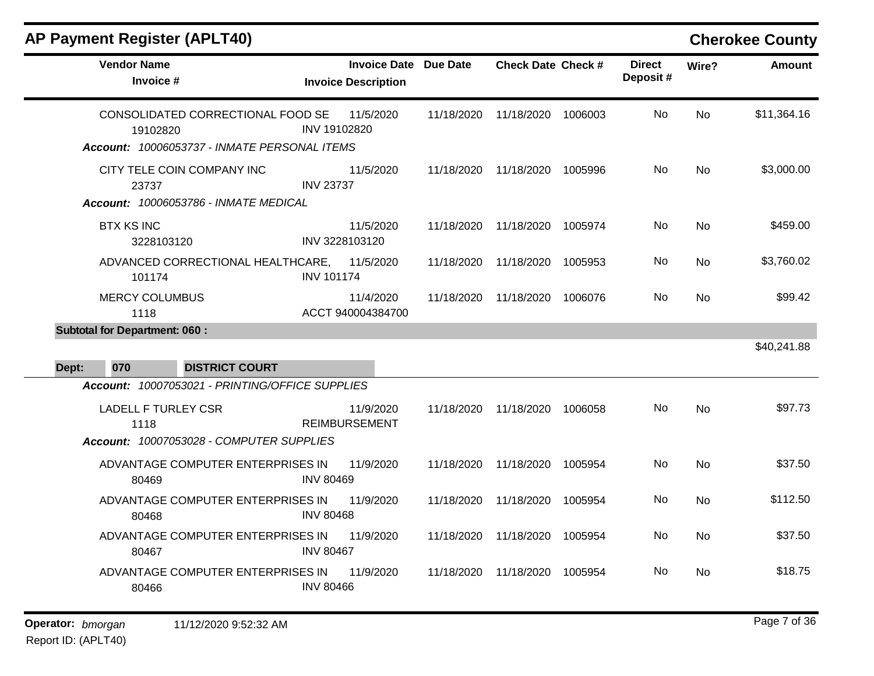| <b>Vendor Name</b><br>Invoice #                                                               | <b>Invoice Date Due Date</b><br><b>Invoice Description</b> |            | <b>Check Date Check #</b> |         | <b>Direct</b><br>Deposit# | Wire?     | <b>Amount</b> |
|-----------------------------------------------------------------------------------------------|------------------------------------------------------------|------------|---------------------------|---------|---------------------------|-----------|---------------|
| CONSOLIDATED CORRECTIONAL FOOD SE<br>19102820<br>Account: 10006053737 - INMATE PERSONAL ITEMS | 11/5/2020<br>INV 19102820                                  | 11/18/2020 | 11/18/2020                | 1006003 | No.                       | <b>No</b> | \$11,364.16   |
| CITY TELE COIN COMPANY INC<br>23737<br>Account: 10006053786 - INMATE MEDICAL                  | 11/5/2020<br><b>INV 23737</b>                              | 11/18/2020 | 11/18/2020 1005996        |         | No                        | <b>No</b> | \$3,000.00    |
| <b>BTX KS INC</b><br>3228103120                                                               | 11/5/2020<br>INV 3228103120                                | 11/18/2020 | 11/18/2020                | 1005974 | No.                       | No        | \$459.00      |
| ADVANCED CORRECTIONAL HEALTHCARE,<br>101174                                                   | 11/5/2020<br><b>INV 101174</b>                             | 11/18/2020 | 11/18/2020                | 1005953 | No                        | <b>No</b> | \$3,760.02    |
| <b>MERCY COLUMBUS</b><br>1118                                                                 | 11/4/2020<br>ACCT 940004384700                             | 11/18/2020 | 11/18/2020 1006076        |         | No                        | <b>No</b> | \$99.42       |
| <b>Subtotal for Department: 060:</b>                                                          |                                                            |            |                           |         |                           |           |               |
| 070<br><b>DISTRICT COURT</b><br>Dept:                                                         |                                                            |            |                           |         |                           |           | \$40,241.88   |
| Account: 10007053021 - PRINTING/OFFICE SUPPLIES                                               |                                                            |            |                           |         |                           |           |               |
| <b>LADELL F TURLEY CSR</b><br>1118                                                            | 11/9/2020<br><b>REIMBURSEMENT</b>                          | 11/18/2020 | 11/18/2020 1006058        |         | No                        | No        | \$97.73       |
| Account: 10007053028 - COMPUTER SUPPLIES                                                      |                                                            |            |                           |         |                           |           |               |
| ADVANTAGE COMPUTER ENTERPRISES IN<br>80469                                                    | 11/9/2020<br><b>INV 80469</b>                              | 11/18/2020 | 11/18/2020                | 1005954 | No                        | <b>No</b> | \$37.50       |
| ADVANTAGE COMPUTER ENTERPRISES IN<br>80468                                                    | 11/9/2020<br><b>INV 80468</b>                              | 11/18/2020 | 11/18/2020                | 1005954 | No.                       | No        | \$112.50      |
| ADVANTAGE COMPUTER ENTERPRISES IN<br>80467                                                    | 11/9/2020<br><b>INV 80467</b>                              | 11/18/2020 | 11/18/2020                | 1005954 | No                        | No        | \$37.50       |
| ADVANTAGE COMPUTER ENTERPRISES IN<br>80466                                                    | 11/9/2020<br><b>INV 80466</b>                              | 11/18/2020 | 11/18/2020                | 1005954 | No.                       | <b>No</b> | \$18.75       |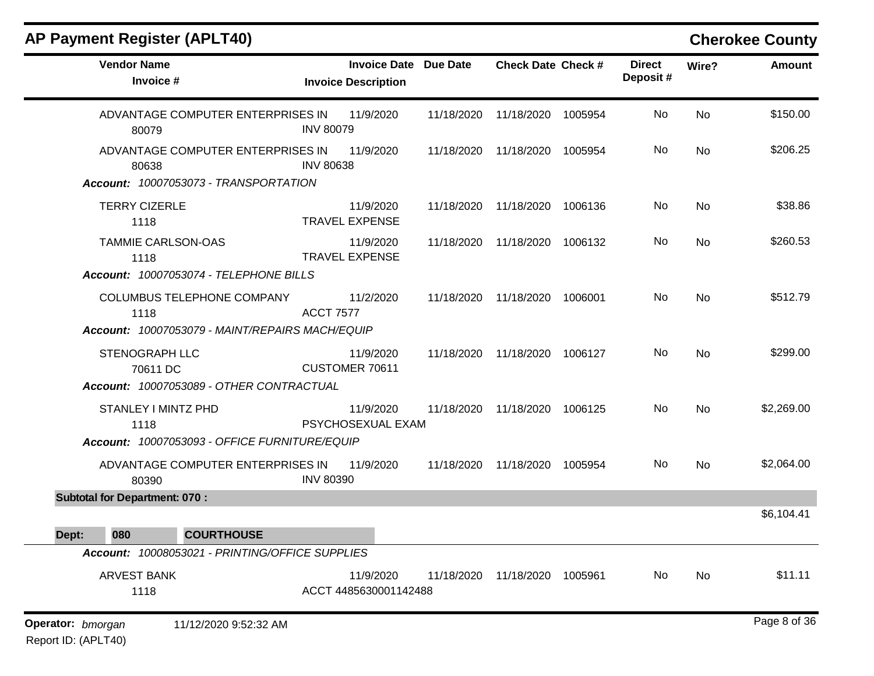| <b>AP Payment Register (APLT40)</b>                                                   |                                                            |            |                           |         |                           |       | <b>Cherokee County</b> |
|---------------------------------------------------------------------------------------|------------------------------------------------------------|------------|---------------------------|---------|---------------------------|-------|------------------------|
| <b>Vendor Name</b><br>Invoice #                                                       | <b>Invoice Date Due Date</b><br><b>Invoice Description</b> |            | <b>Check Date Check #</b> |         | <b>Direct</b><br>Deposit# | Wire? | <b>Amount</b>          |
| ADVANTAGE COMPUTER ENTERPRISES IN<br>80079                                            | 11/9/2020<br><b>INV 80079</b>                              | 11/18/2020 | 11/18/2020                | 1005954 | No                        | No    | \$150.00               |
| ADVANTAGE COMPUTER ENTERPRISES IN<br>80638<br>Account: 10007053073 - TRANSPORTATION   | 11/9/2020<br><b>INV 80638</b>                              | 11/18/2020 | 11/18/2020                | 1005954 | No                        | No    | \$206.25               |
| <b>TERRY CIZERLE</b><br>1118                                                          | 11/9/2020<br><b>TRAVEL EXPENSE</b>                         | 11/18/2020 | 11/18/2020                | 1006136 | No                        | No    | \$38.86                |
| <b>TAMMIE CARLSON-OAS</b><br>1118<br>Account: 10007053074 - TELEPHONE BILLS           | 11/9/2020<br><b>TRAVEL EXPENSE</b>                         | 11/18/2020 | 11/18/2020                | 1006132 | No                        | No    | \$260.53               |
| COLUMBUS TELEPHONE COMPANY<br>1118<br>Account: 10007053079 - MAINT/REPAIRS MACH/EQUIP | 11/2/2020<br><b>ACCT 7577</b>                              | 11/18/2020 | 11/18/2020                | 1006001 | No                        | No    | \$512.79               |
| <b>STENOGRAPH LLC</b><br>70611 DC<br>Account: 10007053089 - OTHER CONTRACTUAL         | 11/9/2020<br>CUSTOMER 70611                                | 11/18/2020 | 11/18/2020                | 1006127 | No                        | No    | \$299.00               |
| STANLEY I MINTZ PHD<br>1118<br>Account: 10007053093 - OFFICE FURNITURE/EQUIP          | 11/9/2020<br>PSYCHOSEXUAL EXAM                             | 11/18/2020 | 11/18/2020                | 1006125 | No                        | No    | \$2,269.00             |
| ADVANTAGE COMPUTER ENTERPRISES IN<br>80390                                            | 11/9/2020<br><b>INV 80390</b>                              | 11/18/2020 | 11/18/2020                | 1005954 | No                        | No    | \$2,064.00             |
| <b>Subtotal for Department: 070:</b>                                                  |                                                            |            |                           |         |                           |       |                        |
| 080<br><b>COURTHOUSE</b><br>Dept:                                                     |                                                            |            |                           |         |                           |       | \$6,104.41             |
| Account: 10008053021 - PRINTING/OFFICE SUPPLIES                                       |                                                            |            |                           |         |                           |       |                        |
| <b>ARVEST BANK</b><br>1118                                                            | 11/9/2020<br>ACCT 4485630001142488                         | 11/18/2020 | 11/18/2020 1005961        |         | No                        | No    | \$11.11                |
| Operator: bmorgan<br>11/12/2020 9:52:32 AM                                            |                                                            |            |                           |         |                           |       | Page 8 of 36           |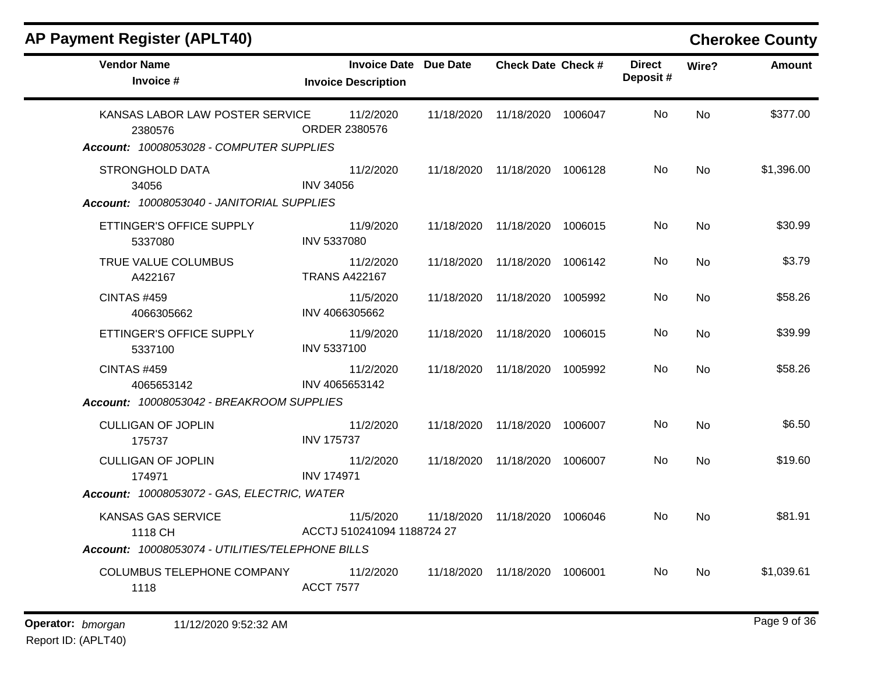| <b>AP Payment Register (APLT40)</b>                                                    |                                                            |            |                               |         |                           |           | <b>Cherokee County</b> |
|----------------------------------------------------------------------------------------|------------------------------------------------------------|------------|-------------------------------|---------|---------------------------|-----------|------------------------|
| <b>Vendor Name</b><br>Invoice #                                                        | <b>Invoice Date Due Date</b><br><b>Invoice Description</b> |            | <b>Check Date Check #</b>     |         | <b>Direct</b><br>Deposit# | Wire?     | Amount                 |
| KANSAS LABOR LAW POSTER SERVICE<br>2380576<br>Account: 10008053028 - COMPUTER SUPPLIES | 11/2/2020<br>ORDER 2380576                                 |            | 11/18/2020 11/18/2020 1006047 |         | No.                       | <b>No</b> | \$377.00               |
| <b>STRONGHOLD DATA</b><br>34056<br>Account: 10008053040 - JANITORIAL SUPPLIES          | 11/2/2020<br><b>INV 34056</b>                              |            | 11/18/2020 11/18/2020 1006128 |         | No.                       | No        | \$1,396.00             |
| ETTINGER'S OFFICE SUPPLY<br>5337080                                                    | 11/9/2020<br><b>INV 5337080</b>                            |            | 11/18/2020 11/18/2020 1006015 |         | No.                       | No        | \$30.99                |
| TRUE VALUE COLUMBUS<br>A422167                                                         | 11/2/2020<br><b>TRANS A422167</b>                          |            | 11/18/2020 11/18/2020 1006142 |         | No.                       | No        | \$3.79                 |
| <b>CINTAS #459</b><br>4066305662                                                       | 11/5/2020<br>INV 4066305662                                | 11/18/2020 | 11/18/2020 1005992            |         | No                        | <b>No</b> | \$58.26                |
| ETTINGER'S OFFICE SUPPLY<br>5337100                                                    | 11/9/2020<br>INV 5337100                                   |            | 11/18/2020 11/18/2020 1006015 |         | No.                       | No        | \$39.99                |
| <b>CINTAS #459</b><br>4065653142                                                       | 11/2/2020<br>INV 4065653142                                |            | 11/18/2020 11/18/2020         | 1005992 | No.                       | No        | \$58.26                |
| Account: 10008053042 - BREAKROOM SUPPLIES                                              |                                                            |            |                               |         |                           |           |                        |
| <b>CULLIGAN OF JOPLIN</b><br>175737                                                    | 11/2/2020<br><b>INV 175737</b>                             |            | 11/18/2020 11/18/2020 1006007 |         | No.                       | No        | \$6.50                 |
| <b>CULLIGAN OF JOPLIN</b><br>174971                                                    | 11/2/2020<br><b>INV 174971</b>                             |            | 11/18/2020 11/18/2020         | 1006007 | No.                       | No        | \$19.60                |
| Account: 10008053072 - GAS, ELECTRIC, WATER                                            |                                                            |            |                               |         |                           |           |                        |
| KANSAS GAS SERVICE<br>1118 CH                                                          | 11/5/2020<br>ACCTJ 510241094 1188724 27                    |            | 11/18/2020 11/18/2020 1006046 |         | No.                       | <b>No</b> | \$81.91                |
| Account: 10008053074 - UTILITIES/TELEPHONE BILLS                                       |                                                            |            |                               |         |                           |           |                        |
| COLUMBUS TELEPHONE COMPANY<br>1118                                                     | 11/2/2020<br><b>ACCT 7577</b>                              |            | 11/18/2020 11/18/2020         | 1006001 | No.                       | No        | \$1,039.61             |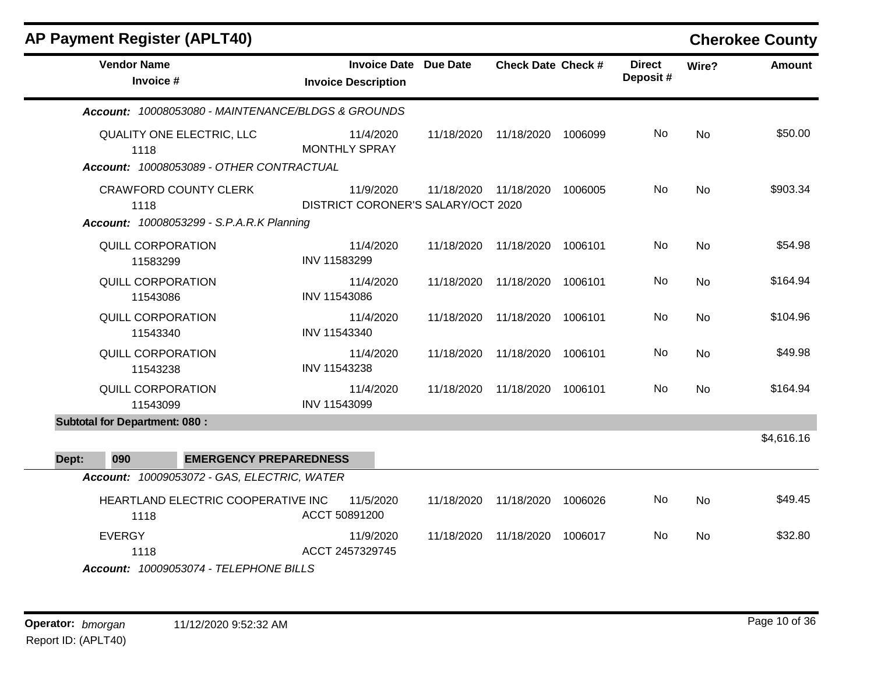| <b>AP Payment Register (APLT40)</b>                                                      |                                                            |            |                           |         |                           |           | <b>Cherokee County</b> |
|------------------------------------------------------------------------------------------|------------------------------------------------------------|------------|---------------------------|---------|---------------------------|-----------|------------------------|
| <b>Vendor Name</b><br>Invoice #                                                          | <b>Invoice Date Due Date</b><br><b>Invoice Description</b> |            | <b>Check Date Check #</b> |         | <b>Direct</b><br>Deposit# | Wire?     | <b>Amount</b>          |
| Account: 10008053080 - MAINTENANCE/BLDGS & GROUNDS                                       |                                                            |            |                           |         |                           |           |                        |
| QUALITY ONE ELECTRIC, LLC<br>1118<br>Account: 10008053089 - OTHER CONTRACTUAL            | 11/4/2020<br><b>MONTHLY SPRAY</b>                          | 11/18/2020 | 11/18/2020                | 1006099 | No                        | <b>No</b> | \$50.00                |
| <b>CRAWFORD COUNTY CLERK</b><br>1118<br><b>Account: 10008053299 - S.P.A.R.K Planning</b> | 11/9/2020<br>DISTRICT CORONER'S SALARY/OCT 2020            |            | 11/18/2020 11/18/2020     | 1006005 | No                        | <b>No</b> | \$903.34               |
| <b>QUILL CORPORATION</b><br>11583299                                                     | 11/4/2020<br>INV 11583299                                  | 11/18/2020 | 11/18/2020                | 1006101 | No                        | <b>No</b> | \$54.98                |
| <b>QUILL CORPORATION</b><br>11543086                                                     | 11/4/2020<br>INV 11543086                                  | 11/18/2020 | 11/18/2020                | 1006101 | No                        | <b>No</b> | \$164.94               |
| <b>QUILL CORPORATION</b><br>11543340                                                     | 11/4/2020<br>INV 11543340                                  | 11/18/2020 | 11/18/2020                | 1006101 | No                        | <b>No</b> | \$104.96               |
| <b>QUILL CORPORATION</b><br>11543238                                                     | 11/4/2020<br>INV 11543238                                  | 11/18/2020 | 11/18/2020                | 1006101 | No                        | <b>No</b> | \$49.98                |
| QUILL CORPORATION<br>11543099                                                            | 11/4/2020<br>INV 11543099                                  | 11/18/2020 | 11/18/2020                | 1006101 | No                        | <b>No</b> | \$164.94               |
| <b>Subtotal for Department: 080:</b>                                                     |                                                            |            |                           |         |                           |           |                        |
| 090<br><b>EMERGENCY PREPAREDNESS</b><br>Dept:                                            |                                                            |            |                           |         |                           |           | \$4,616.16             |
| Account: 10009053072 - GAS, ELECTRIC, WATER                                              |                                                            |            |                           |         |                           |           |                        |
| HEARTLAND ELECTRIC COOPERATIVE INC<br>1118                                               | 11/5/2020<br>ACCT 50891200                                 | 11/18/2020 | 11/18/2020                | 1006026 | No                        | <b>No</b> | \$49.45                |
| <b>EVERGY</b><br>1118                                                                    | 11/9/2020<br>ACCT 2457329745                               | 11/18/2020 | 11/18/2020                | 1006017 | No                        | No        | \$32.80                |

*Account: 10009053074 - TELEPHONE BILLS*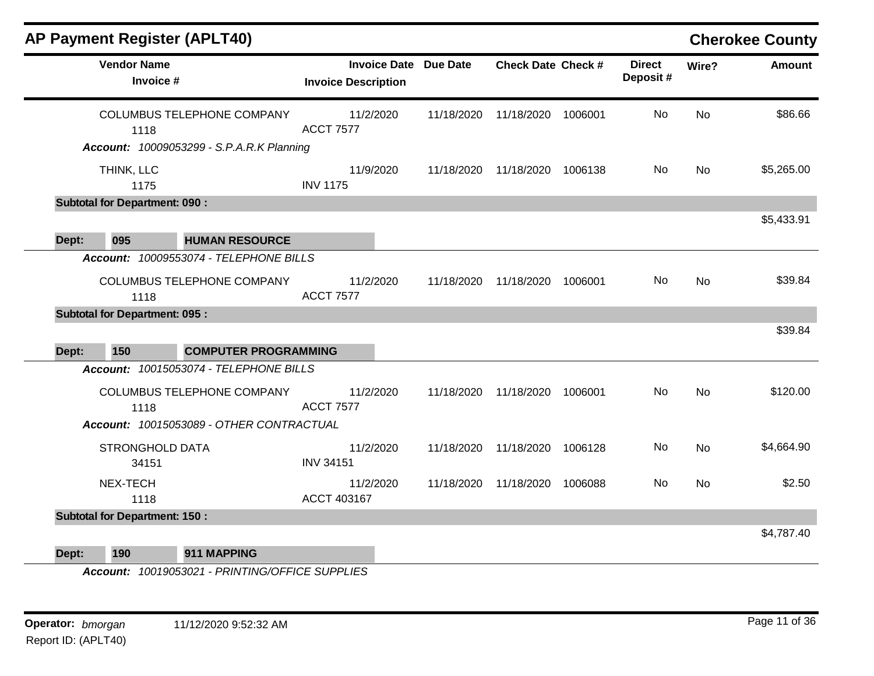|       | <b>AP Payment Register (APLT40)</b>  |                                                                                |                               |                     |                 |                           |         |                           |           | <b>Cherokee County</b> |
|-------|--------------------------------------|--------------------------------------------------------------------------------|-------------------------------|---------------------|-----------------|---------------------------|---------|---------------------------|-----------|------------------------|
|       | <b>Vendor Name</b><br>Invoice #      |                                                                                | <b>Invoice Description</b>    | <b>Invoice Date</b> | <b>Due Date</b> | <b>Check Date Check #</b> |         | <b>Direct</b><br>Deposit# | Wire?     | <b>Amount</b>          |
|       | 1118                                 | COLUMBUS TELEPHONE COMPANY<br><b>Account: 10009053299 - S.P.A.R.K Planning</b> | 11/2/2020<br><b>ACCT 7577</b> |                     | 11/18/2020      | 11/18/2020                | 1006001 | No                        | <b>No</b> | \$86.66                |
|       | THINK, LLC<br>1175                   |                                                                                | 11/9/2020<br><b>INV 1175</b>  |                     | 11/18/2020      | 11/18/2020                | 1006138 | No                        | No        | \$5,265.00             |
|       | <b>Subtotal for Department: 090:</b> |                                                                                |                               |                     |                 |                           |         |                           |           |                        |
| Dept: | 095                                  | <b>HUMAN RESOURCE</b>                                                          |                               |                     |                 |                           |         |                           |           | \$5,433.91             |
|       |                                      | Account: 10009553074 - TELEPHONE BILLS                                         |                               |                     |                 |                           |         |                           |           |                        |
|       | 1118                                 | COLUMBUS TELEPHONE COMPANY                                                     | 11/2/2020<br><b>ACCT 7577</b> |                     | 11/18/2020      | 11/18/2020                | 1006001 | No                        | No        | \$39.84                |
|       | <b>Subtotal for Department: 095:</b> |                                                                                |                               |                     |                 |                           |         |                           |           |                        |
|       |                                      |                                                                                |                               |                     |                 |                           |         |                           |           | \$39.84                |
| Dept: | 150                                  | <b>COMPUTER PROGRAMMING</b>                                                    |                               |                     |                 |                           |         |                           |           |                        |
|       |                                      | Account: 10015053074 - TELEPHONE BILLS                                         |                               |                     |                 |                           |         |                           |           |                        |
|       | 1118                                 | COLUMBUS TELEPHONE COMPANY                                                     | 11/2/2020<br><b>ACCT 7577</b> |                     | 11/18/2020      | 11/18/2020                | 1006001 | No                        | No        | \$120.00               |
|       |                                      | Account: 10015053089 - OTHER CONTRACTUAL                                       |                               |                     |                 |                           |         |                           |           |                        |
|       | <b>STRONGHOLD DATA</b><br>34151      |                                                                                | 11/2/2020<br><b>INV 34151</b> |                     | 11/18/2020      | 11/18/2020                | 1006128 | No                        | No        | \$4,664.90             |
|       | NEX-TECH<br>1118                     |                                                                                | 11/2/2020<br>ACCT 403167      |                     | 11/18/2020      | 11/18/2020                | 1006088 | No                        | No        | \$2.50                 |
|       | <b>Subtotal for Department: 150:</b> |                                                                                |                               |                     |                 |                           |         |                           |           |                        |
|       |                                      |                                                                                |                               |                     |                 |                           |         |                           |           | \$4,787.40             |
| Dept: | 190                                  | 911 MAPPING                                                                    |                               |                     |                 |                           |         |                           |           |                        |

*Account: 10019053021 - PRINTING/OFFICE SUPPLIES*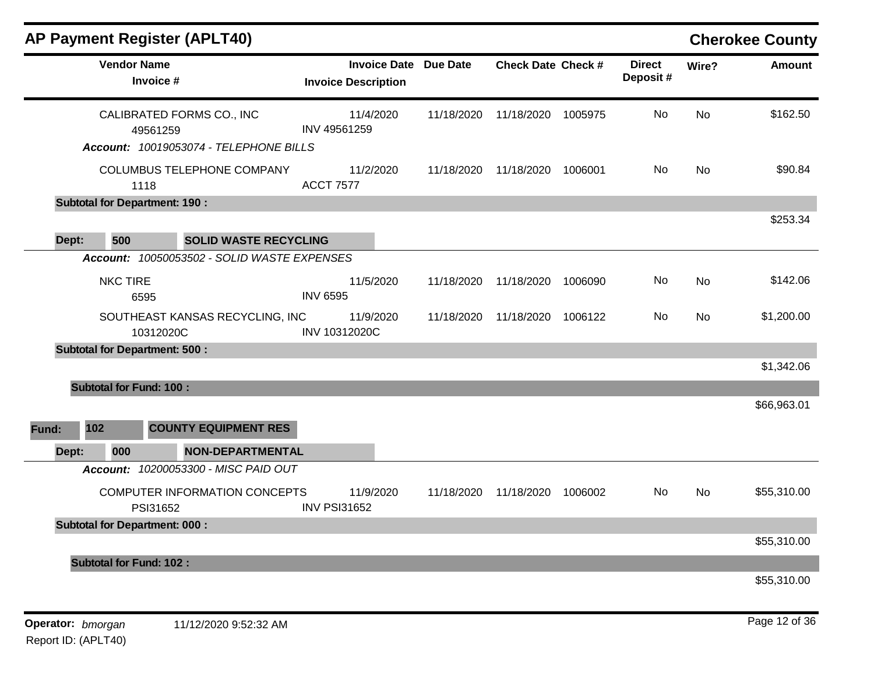| <b>AP Payment Register (APLT40)</b>                                             |                                                            |            |                           |         |                           |           | <b>Cherokee County</b> |
|---------------------------------------------------------------------------------|------------------------------------------------------------|------------|---------------------------|---------|---------------------------|-----------|------------------------|
| <b>Vendor Name</b><br>Invoice #                                                 | <b>Invoice Date Due Date</b><br><b>Invoice Description</b> |            | <b>Check Date Check #</b> |         | <b>Direct</b><br>Deposit# | Wire?     | <b>Amount</b>          |
| CALIBRATED FORMS CO., INC<br>49561259<br>Account: 10019053074 - TELEPHONE BILLS | 11/4/2020<br>INV 49561259                                  | 11/18/2020 | 11/18/2020                | 1005975 | No                        | <b>No</b> | \$162.50               |
| COLUMBUS TELEPHONE COMPANY<br>1118                                              | 11/2/2020<br><b>ACCT 7577</b>                              | 11/18/2020 | 11/18/2020                | 1006001 | No                        | <b>No</b> | \$90.84                |
| <b>Subtotal for Department: 190 :</b>                                           |                                                            |            |                           |         |                           |           |                        |
| 500<br>Dept:<br><b>SOLID WASTE RECYCLING</b>                                    |                                                            |            |                           |         |                           |           | \$253.34               |
| Account: 10050053502 - SOLID WASTE EXPENSES                                     |                                                            |            |                           |         |                           |           |                        |
| <b>NKC TIRE</b><br>6595                                                         | 11/5/2020<br><b>INV 6595</b>                               | 11/18/2020 | 11/18/2020                | 1006090 | No                        | <b>No</b> | \$142.06               |
| SOUTHEAST KANSAS RECYCLING, INC<br>10312020C                                    | 11/9/2020<br>INV 10312020C                                 | 11/18/2020 | 11/18/2020                | 1006122 | No                        | <b>No</b> | \$1,200.00             |
| <b>Subtotal for Department: 500:</b>                                            |                                                            |            |                           |         |                           |           |                        |
|                                                                                 |                                                            |            |                           |         |                           |           | \$1,342.06             |
| <b>Subtotal for Fund: 100:</b>                                                  |                                                            |            |                           |         |                           |           | \$66,963.01            |
| 102<br><b>COUNTY EQUIPMENT RES</b><br>Fund:                                     |                                                            |            |                           |         |                           |           |                        |
| 000<br>Dept:<br><b>NON-DEPARTMENTAL</b>                                         |                                                            |            |                           |         |                           |           |                        |
| Account: 10200053300 - MISC PAID OUT                                            |                                                            |            |                           |         |                           |           |                        |
| COMPUTER INFORMATION CONCEPTS<br>PSI31652                                       | 11/9/2020<br><b>INV PSI31652</b>                           | 11/18/2020 | 11/18/2020                | 1006002 | No.                       | No        | \$55,310.00            |
| <b>Subtotal for Department: 000:</b>                                            |                                                            |            |                           |         |                           |           |                        |
|                                                                                 |                                                            |            |                           |         |                           |           | \$55,310.00            |
| <b>Subtotal for Fund: 102:</b>                                                  |                                                            |            |                           |         |                           |           |                        |
|                                                                                 |                                                            |            |                           |         |                           |           | \$55,310.00            |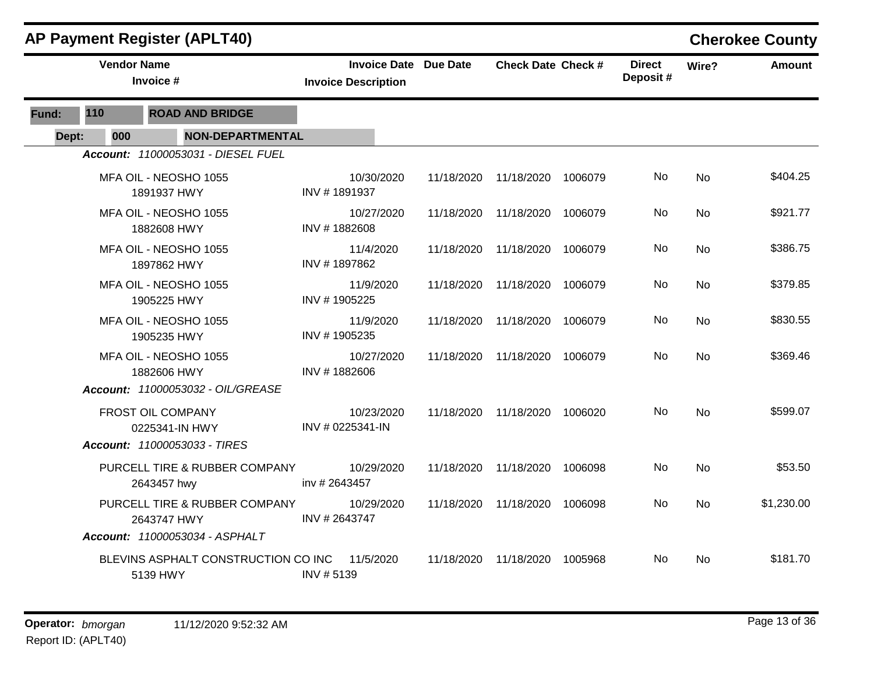|       |                    | <b>AP Payment Register (APLT40)</b>             |                                                            |            |                               |         |                           |           | <b>Cherokee County</b> |
|-------|--------------------|-------------------------------------------------|------------------------------------------------------------|------------|-------------------------------|---------|---------------------------|-----------|------------------------|
|       | <b>Vendor Name</b> | Invoice #                                       | <b>Invoice Date Due Date</b><br><b>Invoice Description</b> |            | <b>Check Date Check #</b>     |         | <b>Direct</b><br>Deposit# | Wire?     | <b>Amount</b>          |
| Fund: | 110                | <b>ROAD AND BRIDGE</b>                          |                                                            |            |                               |         |                           |           |                        |
| Dept: | 000                | <b>NON-DEPARTMENTAL</b>                         |                                                            |            |                               |         |                           |           |                        |
|       |                    | Account: 11000053031 - DIESEL FUEL              |                                                            |            |                               |         |                           |           |                        |
|       |                    | MFA OIL - NEOSHO 1055<br>1891937 HWY            | 10/30/2020<br>INV #1891937                                 | 11/18/2020 | 11/18/2020                    | 1006079 | No                        | No        | \$404.25               |
|       |                    | MFA OIL - NEOSHO 1055<br>1882608 HWY            | 10/27/2020<br>INV #1882608                                 | 11/18/2020 | 11/18/2020                    | 1006079 | No                        | No        | \$921.77               |
|       |                    | MFA OIL - NEOSHO 1055<br>1897862 HWY            | 11/4/2020<br>INV #1897862                                  | 11/18/2020 | 11/18/2020                    | 1006079 | No                        | <b>No</b> | \$386.75               |
|       |                    | MFA OIL - NEOSHO 1055<br>1905225 HWY            | 11/9/2020<br>INV #1905225                                  | 11/18/2020 | 11/18/2020                    | 1006079 | No                        | No        | \$379.85               |
|       |                    | MFA OIL - NEOSHO 1055<br>1905235 HWY            | 11/9/2020<br>INV #1905235                                  | 11/18/2020 | 11/18/2020                    | 1006079 | No                        | <b>No</b> | \$830.55               |
|       |                    | MFA OIL - NEOSHO 1055<br>1882606 HWY            | 10/27/2020<br>INV #1882606                                 | 11/18/2020 | 11/18/2020                    | 1006079 | No                        | No        | \$369.46               |
|       |                    | Account: 11000053032 - OIL/GREASE               |                                                            |            |                               |         |                           |           |                        |
|       |                    | FROST OIL COMPANY<br>0225341-IN HWY             | 10/23/2020<br>INV # 0225341-IN                             |            | 11/18/2020 11/18/2020 1006020 |         | No                        | <b>No</b> | \$599.07               |
|       |                    | Account: 11000053033 - TIRES                    |                                                            |            |                               |         |                           |           |                        |
|       |                    | PURCELL TIRE & RUBBER COMPANY<br>2643457 hwy    | 10/29/2020<br>inv # 2643457                                | 11/18/2020 | 11/18/2020                    | 1006098 | No                        | <b>No</b> | \$53.50                |
|       |                    | PURCELL TIRE & RUBBER COMPANY<br>2643747 HWY    | 10/29/2020<br>INV #2643747                                 | 11/18/2020 | 11/18/2020                    | 1006098 | No                        | <b>No</b> | \$1,230.00             |
|       |                    | Account: 11000053034 - ASPHALT                  |                                                            |            |                               |         |                           |           |                        |
|       |                    | BLEVINS ASPHALT CONSTRUCTION CO INC<br>5139 HWY | 11/5/2020<br>INV #5139                                     | 11/18/2020 | 11/18/2020                    | 1005968 | No                        | No        | \$181.70               |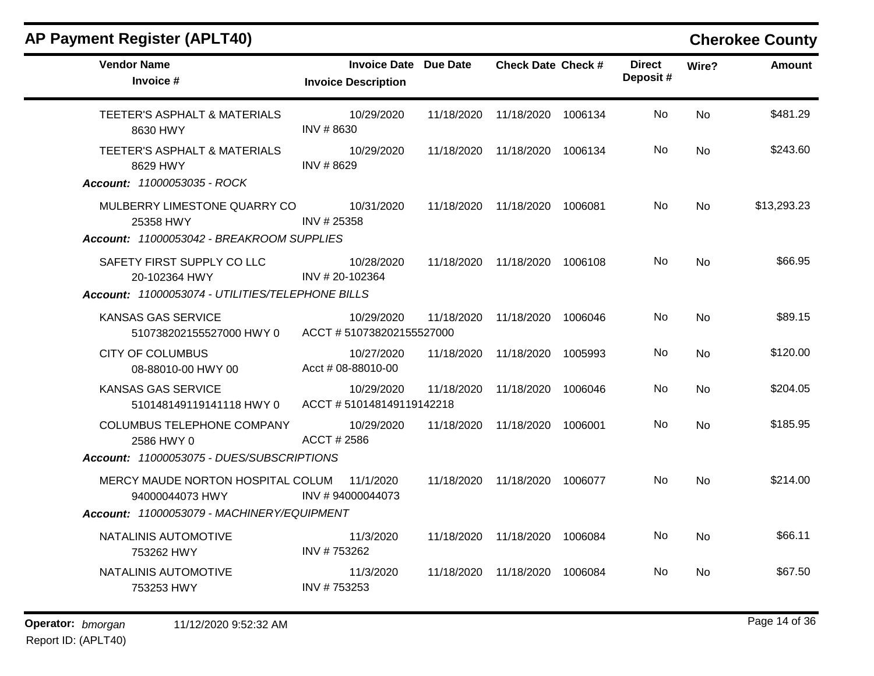| <b>Vendor Name</b><br>Invoice #                       | <b>Invoice Date Due Date</b><br><b>Invoice Description</b> |            | <b>Check Date Check #</b> |         | <b>Direct</b><br>Deposit# | Wire?     | <b>Amount</b> |
|-------------------------------------------------------|------------------------------------------------------------|------------|---------------------------|---------|---------------------------|-----------|---------------|
| TEETER'S ASPHALT & MATERIALS<br>8630 HWY              | 10/29/2020<br>INV #8630                                    | 11/18/2020 | 11/18/2020                | 1006134 | No.                       | <b>No</b> | \$481.29      |
| TEETER'S ASPHALT & MATERIALS<br>8629 HWY              | 10/29/2020<br>INV #8629                                    | 11/18/2020 | 11/18/2020                | 1006134 | No                        | <b>No</b> | \$243.60      |
| Account: 11000053035 - ROCK                           |                                                            |            |                           |         |                           |           |               |
| MULBERRY LIMESTONE QUARRY CO<br>25358 HWY             | 10/31/2020<br>INV #25358                                   | 11/18/2020 | 11/18/2020                | 1006081 | No                        | No        | \$13,293.23   |
| Account: 11000053042 - BREAKROOM SUPPLIES             |                                                            |            |                           |         |                           |           |               |
| SAFETY FIRST SUPPLY CO LLC<br>20-102364 HWY           | 10/28/2020<br>INV #20-102364                               | 11/18/2020 | 11/18/2020                | 1006108 | No.                       | <b>No</b> | \$66.95       |
| Account: 11000053074 - UTILITIES/TELEPHONE BILLS      |                                                            |            |                           |         |                           |           |               |
| KANSAS GAS SERVICE<br>510738202155527000 HWY 0        | 10/29/2020<br>ACCT #510738202155527000                     | 11/18/2020 | 11/18/2020                | 1006046 | No                        | <b>No</b> | \$89.15       |
| <b>CITY OF COLUMBUS</b><br>08-88010-00 HWY 00         | 10/27/2020<br>Acct # 08-88010-00                           | 11/18/2020 | 11/18/2020                | 1005993 | No.                       | <b>No</b> | \$120.00      |
| <b>KANSAS GAS SERVICE</b><br>510148149119141118 HWY 0 | 10/29/2020<br>ACCT #510148149119142218                     | 11/18/2020 | 11/18/2020                | 1006046 | No.                       | No        | \$204.05      |
| <b>COLUMBUS TELEPHONE COMPANY</b><br>2586 HWY 0       | 10/29/2020<br>ACCT # 2586                                  | 11/18/2020 | 11/18/2020                | 1006001 | No.                       | No        | \$185.95      |
| Account: 11000053075 - DUES/SUBSCRIPTIONS             |                                                            |            |                           |         |                           |           |               |
| MERCY MAUDE NORTON HOSPITAL COLUM<br>94000044073 HWY  | 11/1/2020<br>INV #94000044073                              | 11/18/2020 | 11/18/2020 1006077        |         | No.                       | No        | \$214.00      |
| Account: 11000053079 - MACHINERY/EQUIPMENT            |                                                            |            |                           |         |                           |           |               |
| NATALINIS AUTOMOTIVE<br>753262 HWY                    | 11/3/2020<br>INV #753262                                   | 11/18/2020 | 11/18/2020                | 1006084 | No.                       | <b>No</b> | \$66.11       |
| NATALINIS AUTOMOTIVE<br>753253 HWY                    | 11/3/2020<br>INV #753253                                   | 11/18/2020 | 11/18/2020                | 1006084 | No.                       | <b>No</b> | \$67.50       |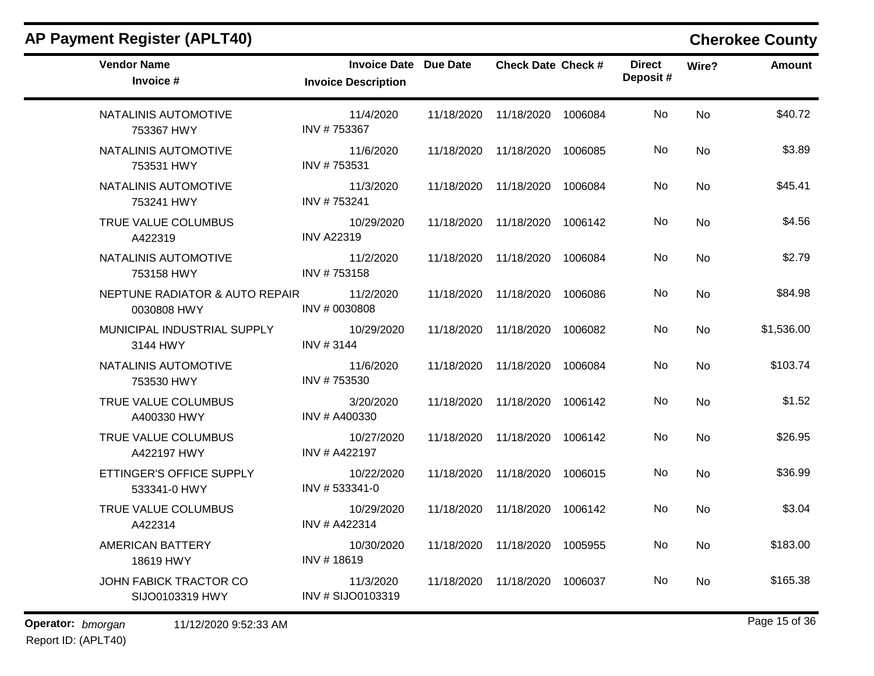|                                 |                                |                              |                                                                                                                      |                                                            |               | <b>Cherokee County</b> |
|---------------------------------|--------------------------------|------------------------------|----------------------------------------------------------------------------------------------------------------------|------------------------------------------------------------|---------------|------------------------|
| <b>Invoice Description</b>      |                                |                              |                                                                                                                      | Deposit#                                                   |               | <b>Amount</b>          |
| 11/4/2020<br>INV #753367        | 11/18/2020                     | 11/18/2020                   | 1006084                                                                                                              | No                                                         | <b>No</b>     | \$40.72                |
| 11/6/2020<br>INV #753531        |                                |                              | 1006085                                                                                                              | No                                                         | No            | \$3.89                 |
| 11/3/2020<br>INV #753241        |                                |                              |                                                                                                                      | No.                                                        | No            | \$45.41                |
| 10/29/2020<br><b>INV A22319</b> | 11/18/2020                     | 11/18/2020                   | 1006142                                                                                                              | No                                                         | No            | \$4.56                 |
| 11/2/2020<br>INV #753158        | 11/18/2020                     | 11/18/2020                   | 1006084                                                                                                              | No                                                         | <b>No</b>     | \$2.79                 |
| 11/2/2020<br>INV # 0030808      | 11/18/2020                     |                              | 1006086                                                                                                              | No                                                         | No            | \$84.98                |
| 10/29/2020<br>INV #3144         |                                |                              | 1006082                                                                                                              | No                                                         | No            | \$1,536.00             |
| 11/6/2020<br>INV #753530        | 11/18/2020                     |                              | 1006084                                                                                                              | No                                                         | No            | \$103.74               |
| 3/20/2020<br>INV # A400330      | 11/18/2020                     |                              | 1006142                                                                                                              | No                                                         | No            | \$1.52                 |
| 10/27/2020<br>INV # A422197     | 11/18/2020                     | 11/18/2020                   | 1006142                                                                                                              | No                                                         | No            | \$26.95                |
| 10/22/2020<br>INV #533341-0     | 11/18/2020                     | 11/18/2020                   | 1006015                                                                                                              | No                                                         | No            | \$36.99                |
| 10/29/2020<br>INV # A422314     | 11/18/2020                     | 11/18/2020                   | 1006142                                                                                                              | No                                                         | No            | \$3.04                 |
| 10/30/2020<br>INV #18619        |                                |                              | 1005955                                                                                                              | No                                                         | <b>No</b>     | \$183.00               |
| 11/3/2020<br>INV # SIJO0103319  | 11/18/2020                     | 11/18/2020                   | 1006037                                                                                                              | No                                                         | No            | \$165.38               |
|                                 | NEPTUNE RADIATOR & AUTO REPAIR | <b>Invoice Date Due Date</b> | 11/18/2020 11/18/2020<br>11/18/2020<br>11/18/2020 11/18/2020<br>11/18/2020<br>11/18/2020<br>11/18/2020<br>11/18/2020 | <b>Check Date Check #</b><br>11/18/2020 11/18/2020 1006084 | <b>Direct</b> | Wire?                  |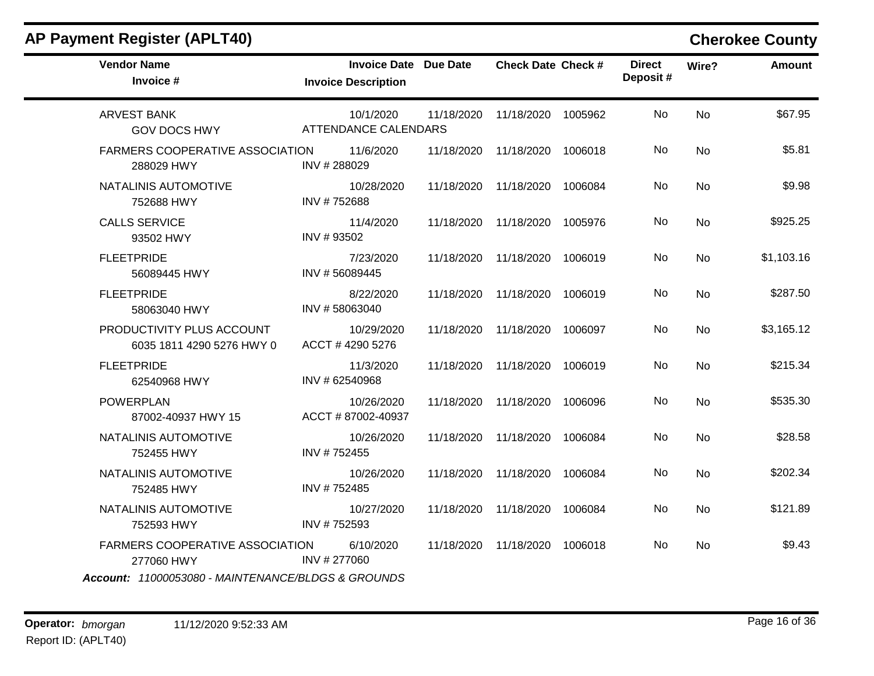| <b>Vendor Name</b><br>Invoice #                                                                                                                                                    | <b>Invoice Date Due Date</b><br><b>Invoice Description</b> |            | <b>Check Date Check #</b> |         | <b>Direct</b><br>Deposit# | Wire?     | <b>Amount</b> |
|------------------------------------------------------------------------------------------------------------------------------------------------------------------------------------|------------------------------------------------------------|------------|---------------------------|---------|---------------------------|-----------|---------------|
| <b>ARVEST BANK</b><br><b>GOV DOCS HWY</b>                                                                                                                                          | 10/1/2020<br><b>ATTENDANCE CALENDARS</b>                   | 11/18/2020 | 11/18/2020                | 1005962 | No                        | <b>No</b> | \$67.95       |
| <b>FARMERS COOPERATIVE ASSOCIATION</b><br>288029 HWY                                                                                                                               | 11/6/2020<br>INV #288029                                   | 11/18/2020 | 11/18/2020                | 1006018 | No                        | <b>No</b> | \$5.81        |
| NATALINIS AUTOMOTIVE<br>752688 HWY                                                                                                                                                 | 10/28/2020<br>INV #752688                                  | 11/18/2020 | 11/18/2020                | 1006084 | No                        | No        | \$9.98        |
| <b>CALLS SERVICE</b><br>93502 HWY                                                                                                                                                  | 11/4/2020<br>INV #93502                                    | 11/18/2020 | 11/18/2020                | 1005976 | No                        | No        | \$925.25      |
| <b>FLEETPRIDE</b><br>56089445 HWY                                                                                                                                                  | 7/23/2020<br>INV #56089445                                 | 11/18/2020 | 11/18/2020                | 1006019 | No                        | <b>No</b> | \$1,103.16    |
| <b>FLEETPRIDE</b><br>58063040 HWY                                                                                                                                                  | 8/22/2020<br>INV #58063040                                 | 11/18/2020 | 11/18/2020                | 1006019 | No                        | <b>No</b> | \$287.50      |
| PRODUCTIVITY PLUS ACCOUNT<br>6035 1811 4290 5276 HWY 0                                                                                                                             | 10/29/2020<br>ACCT #4290 5276                              | 11/18/2020 | 11/18/2020                | 1006097 | No                        | <b>No</b> | \$3,165.12    |
| <b>FLEETPRIDE</b><br>62540968 HWY                                                                                                                                                  | 11/3/2020<br>INV # 62540968                                | 11/18/2020 | 11/18/2020                | 1006019 | No                        | No        | \$215.34      |
| <b>POWERPLAN</b><br>87002-40937 HWY 15                                                                                                                                             | 10/26/2020<br>ACCT #87002-40937                            | 11/18/2020 | 11/18/2020                | 1006096 | No                        | No        | \$535.30      |
| NATALINIS AUTOMOTIVE<br>752455 HWY                                                                                                                                                 | 10/26/2020<br>INV #752455                                  | 11/18/2020 | 11/18/2020                | 1006084 | No                        | <b>No</b> | \$28.58       |
| NATALINIS AUTOMOTIVE<br>752485 HWY                                                                                                                                                 | 10/26/2020<br>INV #752485                                  | 11/18/2020 | 11/18/2020                | 1006084 | No                        | No        | \$202.34      |
| NATALINIS AUTOMOTIVE<br>752593 HWY                                                                                                                                                 | 10/27/2020<br>INV #752593                                  | 11/18/2020 | 11/18/2020                | 1006084 | No                        | <b>No</b> | \$121.89      |
| <b>FARMERS COOPERATIVE ASSOCIATION</b><br>277060 HWY<br>$A_{222}$ $\ldots$ $A_{10000}$ $E_{2000}$ $M_{11}$ $N_{11}$ $T_{L1}$ $M_{11}$ $T_{12}$ $N_{13}$ $N_{14}$ $N_{15}$ $N_{16}$ | 6/10/2020<br>INV #277060                                   | 11/18/2020 | 11/18/2020                | 1006018 | No                        | No        | \$9.43        |

*Account: 11000053080 - MAINTENANCE/BLDGS & GROUNDS*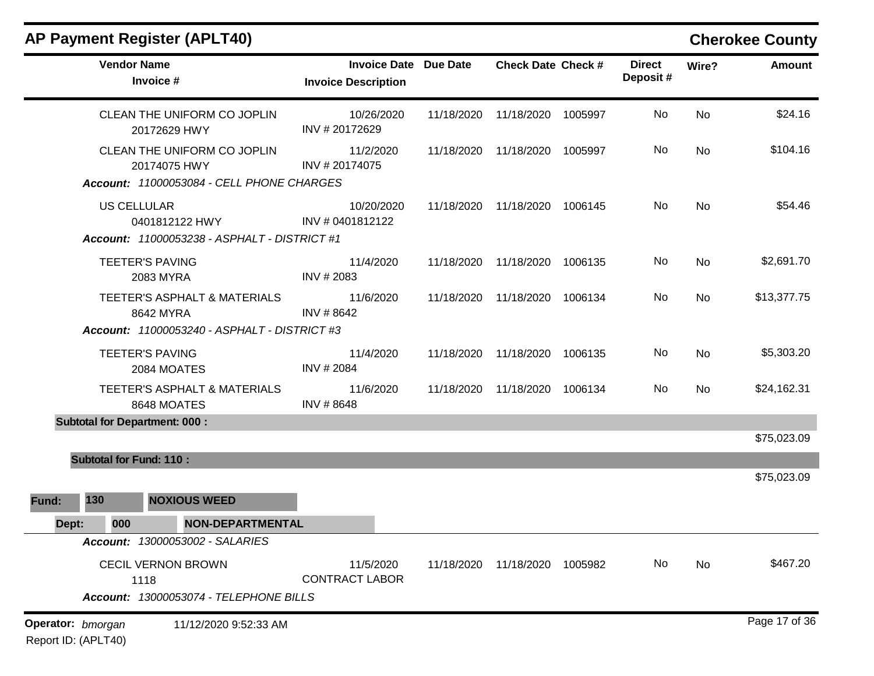|                   |                                      | <b>AP Payment Register (APLT40)</b>                                                       |                                                            |            |                               |         |                           |       | <b>Cherokee County</b> |
|-------------------|--------------------------------------|-------------------------------------------------------------------------------------------|------------------------------------------------------------|------------|-------------------------------|---------|---------------------------|-------|------------------------|
|                   | <b>Vendor Name</b><br>Invoice #      |                                                                                           | <b>Invoice Date Due Date</b><br><b>Invoice Description</b> |            | <b>Check Date Check #</b>     |         | <b>Direct</b><br>Deposit# | Wire? | <b>Amount</b>          |
|                   |                                      | CLEAN THE UNIFORM CO JOPLIN<br>20172629 HWY                                               | 10/26/2020<br>INV #20172629                                | 11/18/2020 | 11/18/2020                    | 1005997 | No                        | No    | \$24.16                |
|                   |                                      | CLEAN THE UNIFORM CO JOPLIN<br>20174075 HWY<br>Account: 11000053084 - CELL PHONE CHARGES  | 11/2/2020<br>INV #20174075                                 | 11/18/2020 | 11/18/2020                    | 1005997 | No                        | No    | \$104.16               |
|                   | <b>US CELLULAR</b>                   | 0401812122 HWY<br>Account: 11000053238 - ASPHALT - DISTRICT #1                            | 10/20/2020<br>INV # 0401812122                             | 11/18/2020 | 11/18/2020                    | 1006145 | No                        | No    | \$54.46                |
|                   | <b>TEETER'S PAVING</b>               | 2083 MYRA                                                                                 | 11/4/2020<br>INV # 2083                                    | 11/18/2020 | 11/18/2020                    | 1006135 | No                        | No    | \$2,691.70             |
|                   |                                      | TEETER'S ASPHALT & MATERIALS<br>8642 MYRA<br>Account: 11000053240 - ASPHALT - DISTRICT #3 | 11/6/2020<br>INV #8642                                     | 11/18/2020 | 11/18/2020                    | 1006134 | No                        | No    | \$13,377.75            |
|                   | <b>TEETER'S PAVING</b>               | 2084 MOATES                                                                               | 11/4/2020<br>INV # 2084                                    | 11/18/2020 | 11/18/2020                    | 1006135 | No                        | No    | \$5,303.20             |
|                   |                                      | TEETER'S ASPHALT & MATERIALS<br>8648 MOATES                                               | 11/6/2020<br>INV #8648                                     | 11/18/2020 | 11/18/2020                    | 1006134 | No                        | No    | \$24,162.31            |
|                   | <b>Subtotal for Department: 000:</b> |                                                                                           |                                                            |            |                               |         |                           |       | \$75,023.09            |
|                   | <b>Subtotal for Fund: 110:</b>       |                                                                                           |                                                            |            |                               |         |                           |       |                        |
| 130<br>Fund:      |                                      | <b>NOXIOUS WEED</b>                                                                       |                                                            |            |                               |         |                           |       | \$75,023.09            |
| Dept:             | 000                                  | NON-DEPARTMENTAL                                                                          |                                                            |            |                               |         |                           |       |                        |
|                   |                                      | <b>Account: 13000053002 - SALARIES</b>                                                    |                                                            |            |                               |         |                           |       |                        |
|                   | 1118                                 | <b>CECIL VERNON BROWN</b><br>Account: 13000053074 - TELEPHONE BILLS                       | 11/5/2020<br><b>CONTRACT LABOR</b>                         |            | 11/18/2020 11/18/2020 1005982 |         | No                        | No    | \$467.20               |
| Operator: bmorgan |                                      | 11/12/2020 9:52:33 AM                                                                     |                                                            |            |                               |         |                           |       | Page 17 of 36          |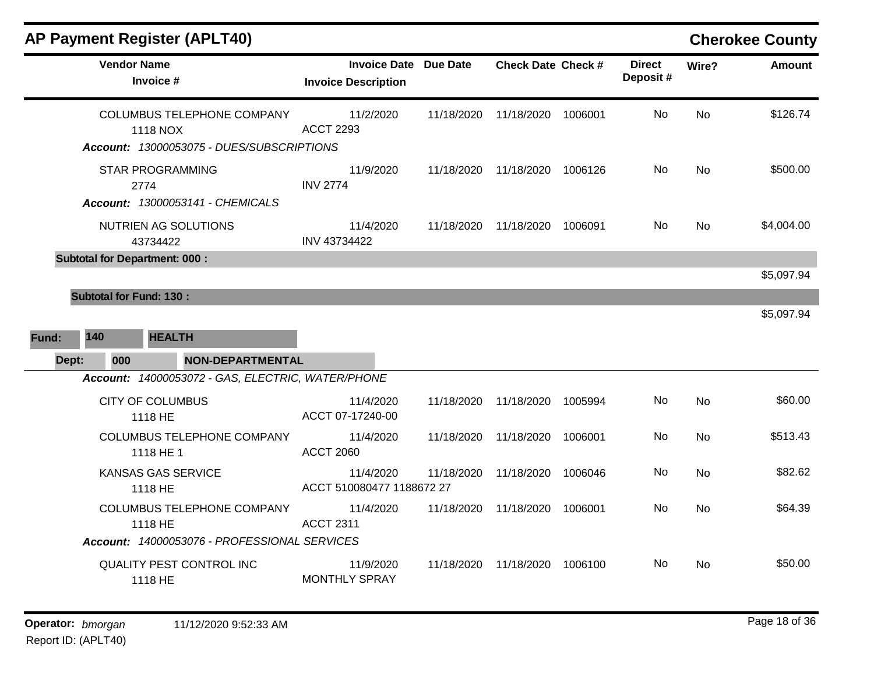|       |                                | <b>AP Payment Register (APLT40)</b>                                                 |                                                            |            |                               |         |                           |           | <b>Cherokee County</b> |
|-------|--------------------------------|-------------------------------------------------------------------------------------|------------------------------------------------------------|------------|-------------------------------|---------|---------------------------|-----------|------------------------|
|       | <b>Vendor Name</b>             | Invoice #                                                                           | <b>Invoice Date Due Date</b><br><b>Invoice Description</b> |            | <b>Check Date Check #</b>     |         | <b>Direct</b><br>Deposit# | Wire?     | <b>Amount</b>          |
|       |                                | COLUMBUS TELEPHONE COMPANY<br>1118 NOX<br>Account: 13000053075 - DUES/SUBSCRIPTIONS | 11/2/2020<br><b>ACCT 2293</b>                              | 11/18/2020 | 11/18/2020                    | 1006001 | No.                       | No        | \$126.74               |
|       |                                | <b>STAR PROGRAMMING</b><br>2774<br>Account: 13000053141 - CHEMICALS                 | 11/9/2020<br><b>INV 2774</b>                               | 11/18/2020 | 11/18/2020 1006126            |         | No                        | <b>No</b> | \$500.00               |
|       |                                | NUTRIEN AG SOLUTIONS<br>43734422                                                    | 11/4/2020<br>INV 43734422                                  |            | 11/18/2020 11/18/2020 1006091 |         | No.                       | <b>No</b> | \$4,004.00             |
|       |                                | <b>Subtotal for Department: 000:</b>                                                |                                                            |            |                               |         |                           |           | \$5,097.94             |
|       |                                |                                                                                     |                                                            |            |                               |         |                           |           |                        |
|       | <b>Subtotal for Fund: 130:</b> |                                                                                     |                                                            |            |                               |         |                           |           | \$5,097.94             |
| Fund: | 140                            | <b>HEALTH</b>                                                                       |                                                            |            |                               |         |                           |           |                        |
| Dept: | 000                            | <b>NON-DEPARTMENTAL</b>                                                             |                                                            |            |                               |         |                           |           |                        |
|       |                                | Account: 14000053072 - GAS, ELECTRIC, WATER/PHONE                                   |                                                            |            |                               |         |                           |           |                        |
|       |                                | <b>CITY OF COLUMBUS</b><br>1118 HE                                                  | 11/4/2020<br>ACCT 07-17240-00                              | 11/18/2020 | 11/18/2020                    | 1005994 | No                        | <b>No</b> | \$60.00                |
|       |                                | COLUMBUS TELEPHONE COMPANY<br>1118 HE 1                                             | 11/4/2020<br><b>ACCT 2060</b>                              | 11/18/2020 | 11/18/2020                    | 1006001 | No                        | <b>No</b> | \$513.43               |
|       |                                | <b>KANSAS GAS SERVICE</b><br>1118 HE                                                | 11/4/2020<br>ACCT 510080477 1188672 27                     | 11/18/2020 | 11/18/2020                    | 1006046 | No.                       | <b>No</b> | \$82.62                |
|       |                                | COLUMBUS TELEPHONE COMPANY<br>1118 HE                                               | 11/4/2020<br><b>ACCT 2311</b>                              | 11/18/2020 | 11/18/2020                    | 1006001 | No                        | <b>No</b> | \$64.39                |
|       |                                | Account: 14000053076 - PROFESSIONAL SERVICES                                        |                                                            |            |                               |         |                           |           |                        |
|       |                                | QUALITY PEST CONTROL INC<br>1118 HE                                                 | 11/9/2020<br><b>MONTHLY SPRAY</b>                          | 11/18/2020 | 11/18/2020 1006100            |         | No                        | No        | \$50.00                |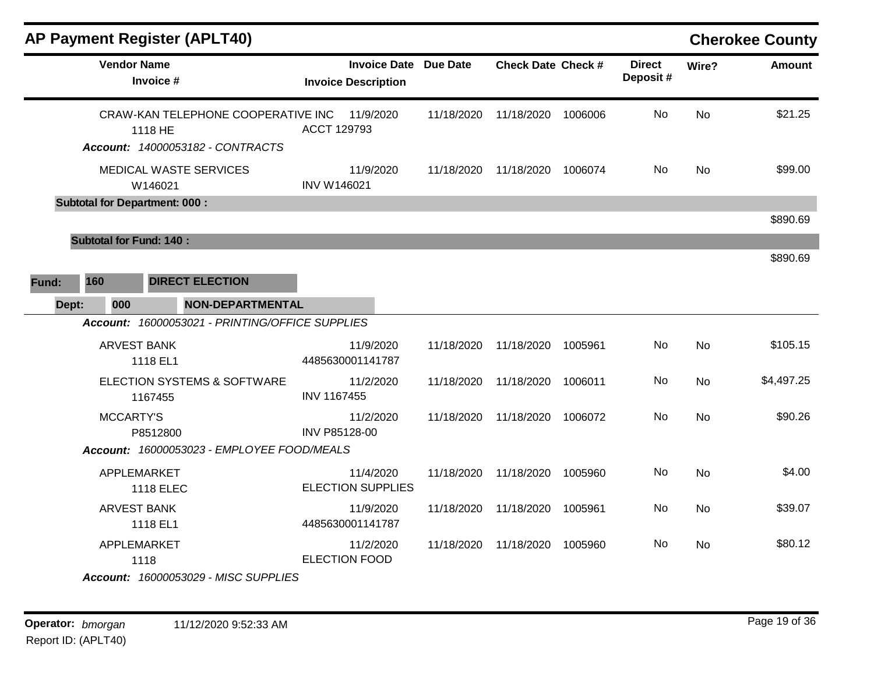|       |                                | <b>AP Payment Register (APLT40)</b>             |                                                            |            |                           |         |                           |           | <b>Cherokee County</b> |
|-------|--------------------------------|-------------------------------------------------|------------------------------------------------------------|------------|---------------------------|---------|---------------------------|-----------|------------------------|
|       | <b>Vendor Name</b>             | Invoice #                                       | <b>Invoice Date Due Date</b><br><b>Invoice Description</b> |            | <b>Check Date Check #</b> |         | <b>Direct</b><br>Deposit# | Wire?     | <b>Amount</b>          |
|       |                                | CRAW-KAN TELEPHONE COOPERATIVE INC<br>1118 HE   | 11/9/2020<br>ACCT 129793                                   | 11/18/2020 | 11/18/2020                | 1006006 | <b>No</b>                 | <b>No</b> | \$21.25                |
|       |                                | Account: 14000053182 - CONTRACTS                |                                                            |            |                           |         |                           |           |                        |
|       |                                | MEDICAL WASTE SERVICES<br>W146021               | 11/9/2020<br><b>INV W146021</b>                            | 11/18/2020 | 11/18/2020                | 1006074 | No                        | <b>No</b> | \$99.00                |
|       |                                | <b>Subtotal for Department: 000:</b>            |                                                            |            |                           |         |                           |           |                        |
|       |                                |                                                 |                                                            |            |                           |         |                           |           | \$890.69               |
|       | <b>Subtotal for Fund: 140:</b> |                                                 |                                                            |            |                           |         |                           |           |                        |
|       |                                |                                                 |                                                            |            |                           |         |                           |           | \$890.69               |
| Fund: | 160                            | <b>DIRECT ELECTION</b>                          |                                                            |            |                           |         |                           |           |                        |
| Dept: | 000                            | <b>NON-DEPARTMENTAL</b>                         |                                                            |            |                           |         |                           |           |                        |
|       |                                | Account: 16000053021 - PRINTING/OFFICE SUPPLIES |                                                            |            |                           |         |                           |           |                        |
|       | <b>ARVEST BANK</b>             | 1118 EL1                                        | 11/9/2020<br>4485630001141787                              | 11/18/2020 | 11/18/2020                | 1005961 | No                        | <b>No</b> | \$105.15               |
|       |                                | ELECTION SYSTEMS & SOFTWARE<br>1167455          | 11/2/2020<br><b>INV 1167455</b>                            | 11/18/2020 | 11/18/2020                | 1006011 | No                        | <b>No</b> | \$4,497.25             |
|       | <b>MCCARTY'S</b>               | P8512800                                        | 11/2/2020<br>INV P85128-00                                 | 11/18/2020 | 11/18/2020                | 1006072 | No                        | <b>No</b> | \$90.26                |
|       |                                | Account: 16000053023 - EMPLOYEE FOOD/MEALS      |                                                            |            |                           |         |                           |           |                        |
|       | APPLEMARKET                    | <b>1118 ELEC</b>                                | 11/4/2020<br><b>ELECTION SUPPLIES</b>                      | 11/18/2020 | 11/18/2020                | 1005960 | <b>No</b>                 | <b>No</b> | \$4.00                 |
|       | <b>ARVEST BANK</b>             | 1118 EL1                                        | 11/9/2020<br>4485630001141787                              | 11/18/2020 | 11/18/2020                | 1005961 | No                        | No        | \$39.07                |
|       | APPLEMARKET                    | 1118                                            | 11/2/2020<br><b>ELECTION FOOD</b>                          | 11/18/2020 | 11/18/2020                | 1005960 | No                        | No        | \$80.12                |
|       |                                | Account: 16000053029 - MISC SUPPLIES            |                                                            |            |                           |         |                           |           |                        |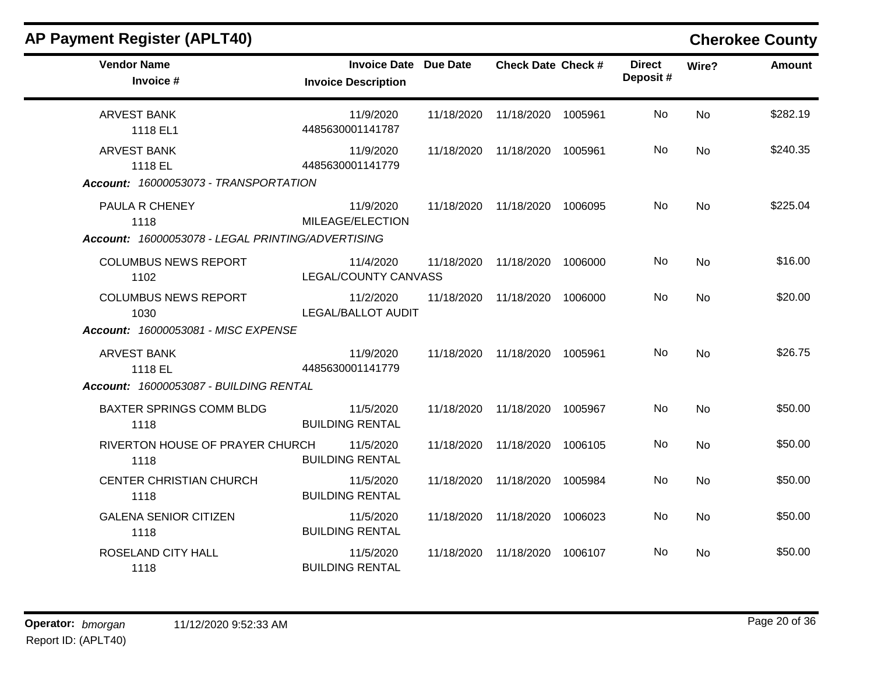| <b>AP Payment Register (APLT40)</b>                                         |                                                            |            |                               |         |                           |           | <b>Cherokee County</b> |
|-----------------------------------------------------------------------------|------------------------------------------------------------|------------|-------------------------------|---------|---------------------------|-----------|------------------------|
| <b>Vendor Name</b><br>Invoice #                                             | <b>Invoice Date Due Date</b><br><b>Invoice Description</b> |            | <b>Check Date Check #</b>     |         | <b>Direct</b><br>Deposit# | Wire?     | <b>Amount</b>          |
| <b>ARVEST BANK</b><br>1118 EL1                                              | 11/9/2020<br>4485630001141787                              |            | 11/18/2020 11/18/2020 1005961 |         | No                        | No        | \$282.19               |
| <b>ARVEST BANK</b><br>1118 EL<br>Account: 16000053073 - TRANSPORTATION      | 11/9/2020<br>4485630001141779                              | 11/18/2020 | 11/18/2020                    | 1005961 | No                        | No        | \$240.35               |
| PAULA R CHENEY<br>1118<br>Account: 16000053078 - LEGAL PRINTING/ADVERTISING | 11/9/2020<br>MILEAGE/ELECTION                              |            | 11/18/2020 11/18/2020 1006095 |         | No.                       | <b>No</b> | \$225.04               |
| <b>COLUMBUS NEWS REPORT</b><br>1102                                         | 11/4/2020<br>LEGAL/COUNTY CANVASS                          |            | 11/18/2020 11/18/2020 1006000 |         | No                        | No        | \$16.00                |
| <b>COLUMBUS NEWS REPORT</b><br>1030<br>Account: 16000053081 - MISC EXPENSE  | 11/2/2020<br><b>LEGAL/BALLOT AUDIT</b>                     | 11/18/2020 | 11/18/2020 1006000            |         | No                        | <b>No</b> | \$20.00                |
| <b>ARVEST BANK</b><br>1118 EL<br>Account: 16000053087 - BUILDING RENTAL     | 11/9/2020<br>4485630001141779                              |            | 11/18/2020 11/18/2020 1005961 |         | <b>No</b>                 | No        | \$26.75                |
| <b>BAXTER SPRINGS COMM BLDG</b><br>1118                                     | 11/5/2020<br><b>BUILDING RENTAL</b>                        | 11/18/2020 | 11/18/2020                    | 1005967 | No                        | <b>No</b> | \$50.00                |
| RIVERTON HOUSE OF PRAYER CHURCH<br>1118                                     | 11/5/2020<br><b>BUILDING RENTAL</b>                        | 11/18/2020 | 11/18/2020                    | 1006105 | No                        | <b>No</b> | \$50.00                |
| <b>CENTER CHRISTIAN CHURCH</b><br>1118                                      | 11/5/2020<br><b>BUILDING RENTAL</b>                        | 11/18/2020 | 11/18/2020 1005984            |         | No                        | <b>No</b> | \$50.00                |
| <b>GALENA SENIOR CITIZEN</b><br>1118                                        | 11/5/2020<br><b>BUILDING RENTAL</b>                        |            | 11/18/2020 11/18/2020 1006023 |         | <b>No</b>                 | <b>No</b> | \$50.00                |
| ROSELAND CITY HALL<br>1118                                                  | 11/5/2020<br><b>BUILDING RENTAL</b>                        |            | 11/18/2020 11/18/2020 1006107 |         | No                        | <b>No</b> | \$50.00                |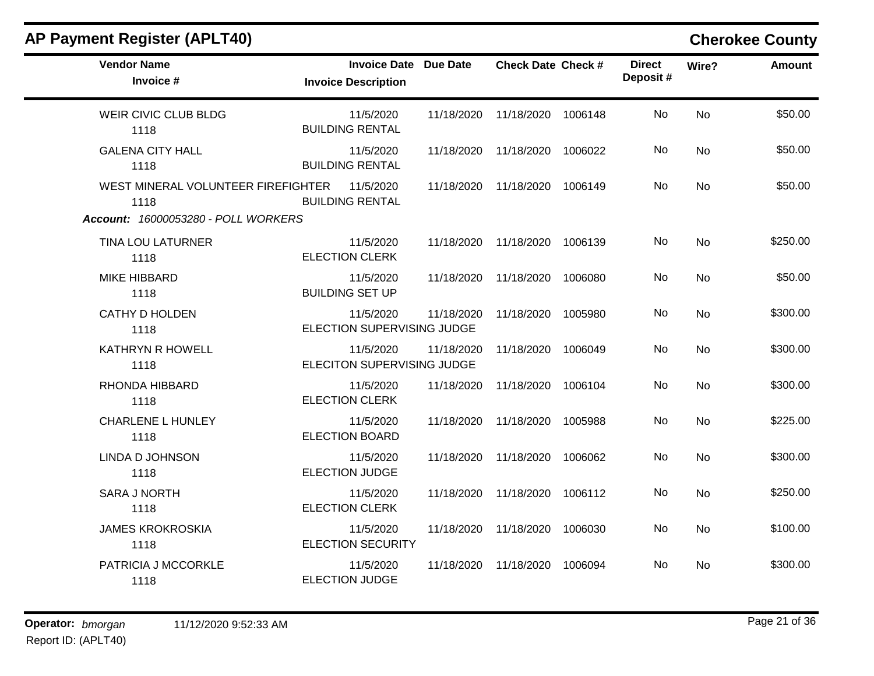| <b>AP Payment Register (APLT40)</b>        |                            |                              |            |                           |         |                           |           | <b>Cherokee County</b> |
|--------------------------------------------|----------------------------|------------------------------|------------|---------------------------|---------|---------------------------|-----------|------------------------|
| <b>Vendor Name</b><br>Invoice #            | <b>Invoice Description</b> | <b>Invoice Date Due Date</b> |            | <b>Check Date Check #</b> |         | <b>Direct</b><br>Deposit# | Wire?     | <b>Amount</b>          |
| WEIR CIVIC CLUB BLDG<br>1118               | <b>BUILDING RENTAL</b>     | 11/5/2020                    | 11/18/2020 | 11/18/2020 1006148        |         | No                        | <b>No</b> | \$50.00                |
| <b>GALENA CITY HALL</b><br>1118            | <b>BUILDING RENTAL</b>     | 11/5/2020                    | 11/18/2020 | 11/18/2020                | 1006022 | No                        | <b>No</b> | \$50.00                |
| WEST MINERAL VOLUNTEER FIREFIGHTER<br>1118 | <b>BUILDING RENTAL</b>     | 11/5/2020                    | 11/18/2020 | 11/18/2020 1006149        |         | No                        | <b>No</b> | \$50.00                |
| Account: 16000053280 - POLL WORKERS        |                            |                              |            |                           |         |                           |           |                        |
| <b>TINA LOU LATURNER</b><br>1118           | <b>ELECTION CLERK</b>      | 11/5/2020                    | 11/18/2020 | 11/18/2020 1006139        |         | No                        | <b>No</b> | \$250.00               |
| <b>MIKE HIBBARD</b><br>1118                | <b>BUILDING SET UP</b>     | 11/5/2020                    | 11/18/2020 | 11/18/2020                | 1006080 | No                        | <b>No</b> | \$50.00                |
| <b>CATHY D HOLDEN</b><br>1118              | ELECTION SUPERVISING JUDGE | 11/5/2020                    | 11/18/2020 | 11/18/2020                | 1005980 | No                        | No        | \$300.00               |
| <b>KATHRYN R HOWELL</b><br>1118            | ELECITON SUPERVISING JUDGE | 11/5/2020                    | 11/18/2020 | 11/18/2020                | 1006049 | <b>No</b>                 | <b>No</b> | \$300.00               |
| RHONDA HIBBARD<br>1118                     | <b>ELECTION CLERK</b>      | 11/5/2020                    | 11/18/2020 | 11/18/2020                | 1006104 | No                        | <b>No</b> | \$300.00               |
| <b>CHARLENE L HUNLEY</b><br>1118           | <b>ELECTION BOARD</b>      | 11/5/2020                    | 11/18/2020 | 11/18/2020                | 1005988 | <b>No</b>                 | <b>No</b> | \$225.00               |
| LINDA D JOHNSON<br>1118                    | <b>ELECTION JUDGE</b>      | 11/5/2020                    | 11/18/2020 | 11/18/2020                | 1006062 | <b>No</b>                 | <b>No</b> | \$300.00               |
| <b>SARA J NORTH</b><br>1118                | <b>ELECTION CLERK</b>      | 11/5/2020                    | 11/18/2020 | 11/18/2020                | 1006112 | No                        | No        | \$250.00               |
| <b>JAMES KROKROSKIA</b><br>1118            | <b>ELECTION SECURITY</b>   | 11/5/2020                    | 11/18/2020 | 11/18/2020                | 1006030 | No                        | No        | \$100.00               |
| PATRICIA J MCCORKLE<br>1118                | <b>ELECTION JUDGE</b>      | 11/5/2020                    | 11/18/2020 | 11/18/2020                | 1006094 | <b>No</b>                 | No        | \$300.00               |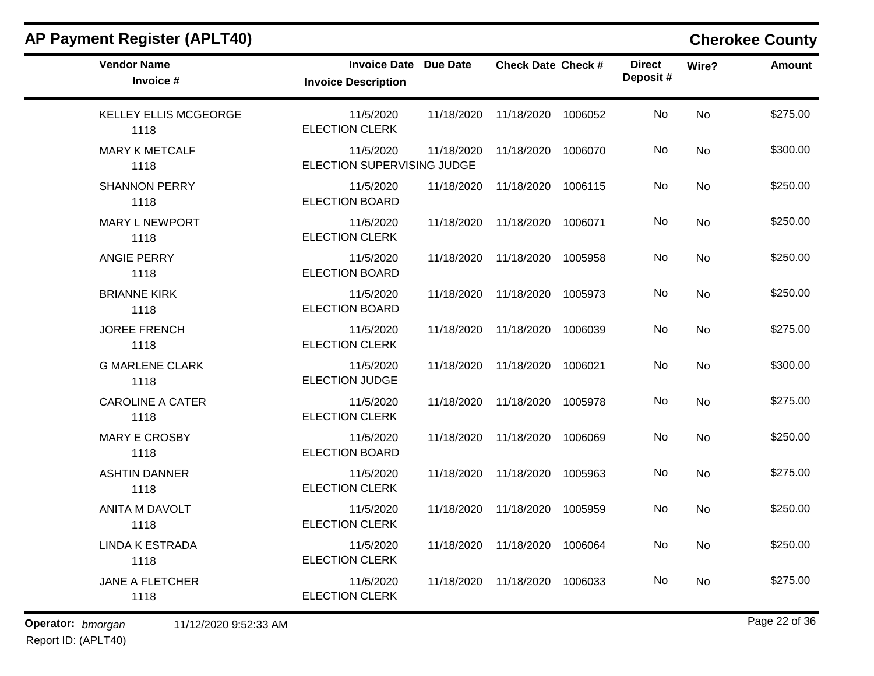| <b>AP Payment Register (APLT40)</b>  |                                                            |            |                               |         |                           |       | <b>Cherokee County</b> |
|--------------------------------------|------------------------------------------------------------|------------|-------------------------------|---------|---------------------------|-------|------------------------|
| <b>Vendor Name</b><br>Invoice #      | <b>Invoice Date Due Date</b><br><b>Invoice Description</b> |            | <b>Check Date Check #</b>     |         | <b>Direct</b><br>Deposit# | Wire? | <b>Amount</b>          |
| <b>KELLEY ELLIS MCGEORGE</b><br>1118 | 11/5/2020<br><b>ELECTION CLERK</b>                         | 11/18/2020 | 11/18/2020                    | 1006052 | No                        | No    | \$275.00               |
| <b>MARY K METCALF</b><br>1118        | 11/5/2020<br>ELECTION SUPERVISING JUDGE                    | 11/18/2020 | 11/18/2020                    | 1006070 | No                        | No    | \$300.00               |
| <b>SHANNON PERRY</b><br>1118         | 11/5/2020<br><b>ELECTION BOARD</b>                         | 11/18/2020 | 11/18/2020                    | 1006115 | No                        | No    | \$250.00               |
| <b>MARY L NEWPORT</b><br>1118        | 11/5/2020<br><b>ELECTION CLERK</b>                         | 11/18/2020 | 11/18/2020                    | 1006071 | No                        | No    | \$250.00               |
| <b>ANGIE PERRY</b><br>1118           | 11/5/2020<br>ELECTION BOARD                                | 11/18/2020 | 11/18/2020                    | 1005958 | No                        | No    | \$250.00               |
| <b>BRIANNE KIRK</b><br>1118          | 11/5/2020<br><b>ELECTION BOARD</b>                         | 11/18/2020 | 11/18/2020                    | 1005973 | No                        | No    | \$250.00               |
| <b>JOREE FRENCH</b><br>1118          | 11/5/2020<br><b>ELECTION CLERK</b>                         | 11/18/2020 | 11/18/2020                    | 1006039 | No                        | No    | \$275.00               |
| <b>G MARLENE CLARK</b><br>1118       | 11/5/2020<br><b>ELECTION JUDGE</b>                         | 11/18/2020 | 11/18/2020                    | 1006021 | No                        | No    | \$300.00               |
| <b>CAROLINE A CATER</b><br>1118      | 11/5/2020<br><b>ELECTION CLERK</b>                         | 11/18/2020 | 11/18/2020                    | 1005978 | No                        | No    | \$275.00               |
| <b>MARY E CROSBY</b><br>1118         | 11/5/2020<br><b>ELECTION BOARD</b>                         | 11/18/2020 | 11/18/2020                    | 1006069 | No                        | No    | \$250.00               |
| <b>ASHTIN DANNER</b><br>1118         | 11/5/2020<br><b>ELECTION CLERK</b>                         | 11/18/2020 | 11/18/2020                    | 1005963 | No                        | No    | \$275.00               |
| ANITA M DAVOLT<br>1118               | 11/5/2020<br>ELECTION CLERK                                | 11/18/2020 | 11/18/2020                    | 1005959 | No                        | No    | \$250.00               |
| <b>LINDA K ESTRADA</b><br>1118       | 11/5/2020<br><b>ELECTION CLERK</b>                         |            | 11/18/2020 11/18/2020 1006064 |         | No                        | No    | \$250.00               |
| <b>JANE A FLETCHER</b><br>1118       | 11/5/2020<br><b>ELECTION CLERK</b>                         |            | 11/18/2020 11/18/2020         | 1006033 | No                        | No    | \$275.00               |

### **Operator:** bmorgan 11/12/2020 9:52:33 AM **bigger 11/12/2020** 9:52:33 AM **bigger 11/12**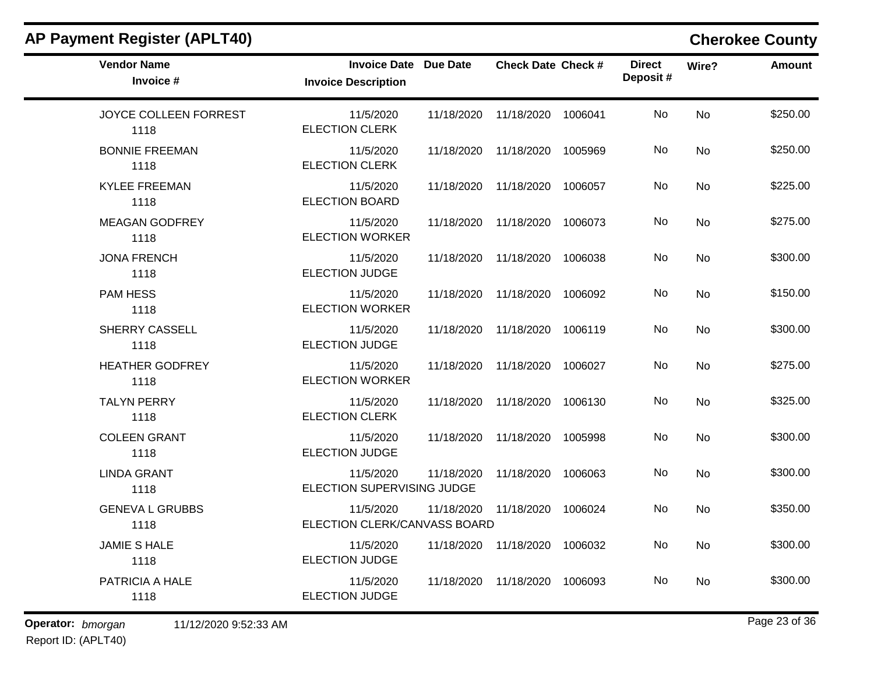| <b>AP Payment Register (APLT40)</b> |                                                            |            |                               |         |                           | <b>Cherokee County</b> |               |
|-------------------------------------|------------------------------------------------------------|------------|-------------------------------|---------|---------------------------|------------------------|---------------|
| <b>Vendor Name</b><br>Invoice #     | <b>Invoice Date Due Date</b><br><b>Invoice Description</b> |            | <b>Check Date Check #</b>     |         | <b>Direct</b><br>Deposit# | Wire?                  | <b>Amount</b> |
| JOYCE COLLEEN FORREST<br>1118       | 11/5/2020<br><b>ELECTION CLERK</b>                         | 11/18/2020 | 11/18/2020                    | 1006041 | No                        | <b>No</b>              | \$250.00      |
| <b>BONNIE FREEMAN</b><br>1118       | 11/5/2020<br><b>ELECTION CLERK</b>                         | 11/18/2020 | 11/18/2020                    | 1005969 | No                        | No                     | \$250.00      |
| <b>KYLEE FREEMAN</b><br>1118        | 11/5/2020<br><b>ELECTION BOARD</b>                         | 11/18/2020 | 11/18/2020                    | 1006057 | No                        | No                     | \$225.00      |
| <b>MEAGAN GODFREY</b><br>1118       | 11/5/2020<br><b>ELECTION WORKER</b>                        | 11/18/2020 | 11/18/2020                    | 1006073 | No                        | No                     | \$275.00      |
| <b>JONA FRENCH</b><br>1118          | 11/5/2020<br><b>ELECTION JUDGE</b>                         | 11/18/2020 | 11/18/2020                    | 1006038 | No                        | No                     | \$300.00      |
| <b>PAM HESS</b><br>1118             | 11/5/2020<br><b>ELECTION WORKER</b>                        | 11/18/2020 | 11/18/2020                    | 1006092 | No                        | No                     | \$150.00      |
| SHERRY CASSELL<br>1118              | 11/5/2020<br><b>ELECTION JUDGE</b>                         | 11/18/2020 | 11/18/2020                    | 1006119 | No                        | <b>No</b>              | \$300.00      |
| <b>HEATHER GODFREY</b><br>1118      | 11/5/2020<br><b>ELECTION WORKER</b>                        | 11/18/2020 | 11/18/2020                    | 1006027 | No                        | No                     | \$275.00      |
| <b>TALYN PERRY</b><br>1118          | 11/5/2020<br><b>ELECTION CLERK</b>                         | 11/18/2020 | 11/18/2020                    | 1006130 | No                        | No                     | \$325.00      |
| <b>COLEEN GRANT</b><br>1118         | 11/5/2020<br><b>ELECTION JUDGE</b>                         | 11/18/2020 | 11/18/2020                    | 1005998 | No                        | No                     | \$300.00      |
| <b>LINDA GRANT</b><br>1118          | 11/5/2020<br>ELECTION SUPERVISING JUDGE                    | 11/18/2020 | 11/18/2020                    | 1006063 | No                        | No                     | \$300.00      |
| <b>GENEVA L GRUBBS</b><br>1118      | 11/5/2020<br>ELECTION CLERK/CANVASS BOARD                  | 11/18/2020 | 11/18/2020                    | 1006024 | No                        | No                     | \$350.00      |
| <b>JAMIE S HALE</b><br>1118         | 11/5/2020<br><b>ELECTION JUDGE</b>                         |            | 11/18/2020 11/18/2020 1006032 |         | No                        | No                     | \$300.00      |
| PATRICIA A HALE<br>1118             | 11/5/2020<br><b>ELECTION JUDGE</b>                         |            | 11/18/2020 11/18/2020         | 1006093 | No                        | No                     | \$300.00      |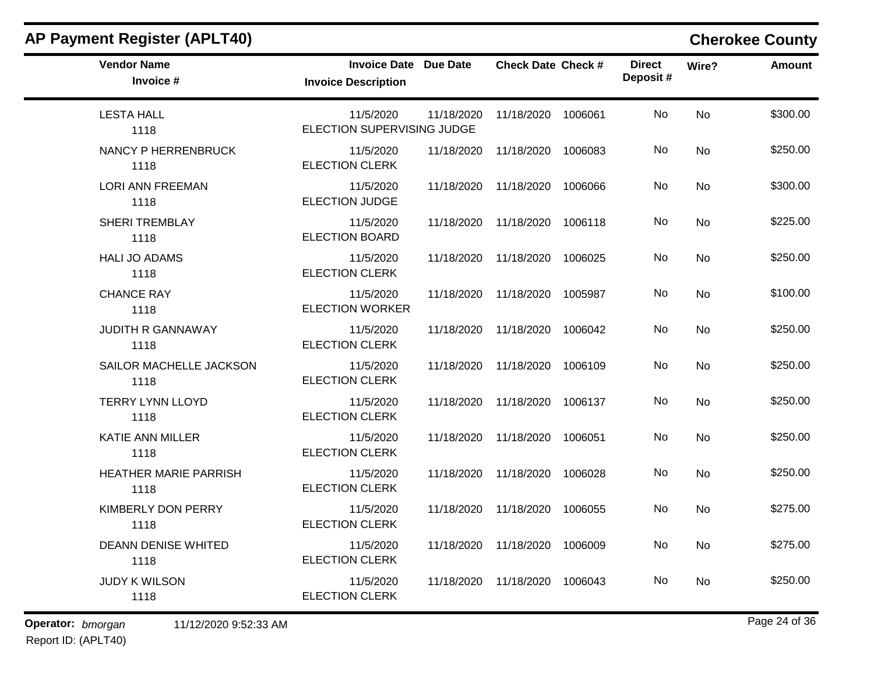| <b>AP Payment Register (APLT40)</b> |                                                            |            |                               |         |                           |           | <b>Cherokee County</b> |
|-------------------------------------|------------------------------------------------------------|------------|-------------------------------|---------|---------------------------|-----------|------------------------|
| <b>Vendor Name</b><br>Invoice #     | <b>Invoice Date Due Date</b><br><b>Invoice Description</b> |            | <b>Check Date Check #</b>     |         | <b>Direct</b><br>Deposit# | Wire?     | <b>Amount</b>          |
| <b>LESTA HALL</b><br>1118           | 11/5/2020<br>ELECTION SUPERVISING JUDGE                    | 11/18/2020 | 11/18/2020                    | 1006061 | No                        | No        | \$300.00               |
| NANCY P HERRENBRUCK<br>1118         | 11/5/2020<br><b>ELECTION CLERK</b>                         | 11/18/2020 | 11/18/2020                    | 1006083 | No                        | No        | \$250.00               |
| <b>LORI ANN FREEMAN</b><br>1118     | 11/5/2020<br><b>ELECTION JUDGE</b>                         | 11/18/2020 | 11/18/2020                    | 1006066 | No                        | No        | \$300.00               |
| <b>SHERI TREMBLAY</b><br>1118       | 11/5/2020<br><b>ELECTION BOARD</b>                         | 11/18/2020 | 11/18/2020                    | 1006118 | No                        | <b>No</b> | \$225.00               |
| <b>HALI JO ADAMS</b><br>1118        | 11/5/2020<br><b>ELECTION CLERK</b>                         | 11/18/2020 | 11/18/2020                    | 1006025 | No                        | <b>No</b> | \$250.00               |
| <b>CHANCE RAY</b><br>1118           | 11/5/2020<br><b>ELECTION WORKER</b>                        | 11/18/2020 | 11/18/2020                    | 1005987 | No                        | No        | \$100.00               |
| <b>JUDITH R GANNAWAY</b><br>1118    | 11/5/2020<br><b>ELECTION CLERK</b>                         | 11/18/2020 | 11/18/2020                    | 1006042 | No                        | No        | \$250.00               |
| SAILOR MACHELLE JACKSON<br>1118     | 11/5/2020<br><b>ELECTION CLERK</b>                         | 11/18/2020 | 11/18/2020                    | 1006109 | No                        | <b>No</b> | \$250.00               |
| <b>TERRY LYNN LLOYD</b><br>1118     | 11/5/2020<br><b>ELECTION CLERK</b>                         | 11/18/2020 | 11/18/2020                    | 1006137 | No                        | No        | \$250.00               |
| <b>KATIE ANN MILLER</b><br>1118     | 11/5/2020<br><b>ELECTION CLERK</b>                         | 11/18/2020 | 11/18/2020                    | 1006051 | No                        | No        | \$250.00               |
| HEATHER MARIE PARRISH<br>1118       | 11/5/2020<br><b>ELECTION CLERK</b>                         | 11/18/2020 | 11/18/2020                    | 1006028 | No                        | <b>No</b> | \$250.00               |
| KIMBERLY DON PERRY<br>1118          | 11/5/2020<br>ELECTION CLERK                                | 11/18/2020 | 11/18/2020                    | 1006055 | No                        | No        | \$275.00               |
| <b>DEANN DENISE WHITED</b><br>1118  | 11/5/2020<br><b>ELECTION CLERK</b>                         |            | 11/18/2020 11/18/2020 1006009 |         | No                        | No        | \$275.00               |
| <b>JUDY K WILSON</b><br>1118        | 11/5/2020<br><b>ELECTION CLERK</b>                         |            | 11/18/2020 11/18/2020         | 1006043 | No                        | No        | \$250.00               |

### **Operator:** bmorgan 11/12/2020 9:52:33 AM **bigger 11/12/2020** 9:52:33 AM **bigger 11/12**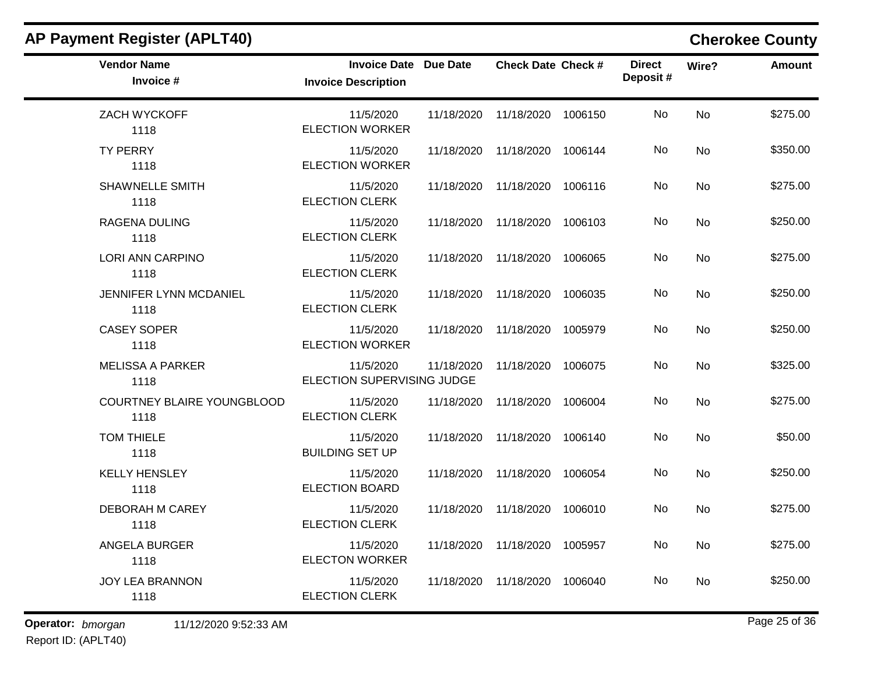| <b>AP Payment Register (APLT40)</b> |                                                            |            |                               |         |                           |       | <b>Cherokee County</b> |
|-------------------------------------|------------------------------------------------------------|------------|-------------------------------|---------|---------------------------|-------|------------------------|
| <b>Vendor Name</b><br>Invoice #     | <b>Invoice Date Due Date</b><br><b>Invoice Description</b> |            | <b>Check Date Check #</b>     |         | <b>Direct</b><br>Deposit# | Wire? | <b>Amount</b>          |
| ZACH WYCKOFF<br>1118                | 11/5/2020<br><b>ELECTION WORKER</b>                        | 11/18/2020 | 11/18/2020                    | 1006150 | No                        | No    | \$275.00               |
| <b>TY PERRY</b><br>1118             | 11/5/2020<br><b>ELECTION WORKER</b>                        | 11/18/2020 | 11/18/2020                    | 1006144 | No                        | No    | \$350.00               |
| <b>SHAWNELLE SMITH</b><br>1118      | 11/5/2020<br><b>ELECTION CLERK</b>                         | 11/18/2020 | 11/18/2020                    | 1006116 | No                        | No    | \$275.00               |
| <b>RAGENA DULING</b><br>1118        | 11/5/2020<br><b>ELECTION CLERK</b>                         | 11/18/2020 | 11/18/2020                    | 1006103 | No                        | No    | \$250.00               |
| LORI ANN CARPINO<br>1118            | 11/5/2020<br><b>ELECTION CLERK</b>                         | 11/18/2020 | 11/18/2020                    | 1006065 | No                        | No    | \$275.00               |
| JENNIFER LYNN MCDANIEL<br>1118      | 11/5/2020<br><b>ELECTION CLERK</b>                         | 11/18/2020 | 11/18/2020                    | 1006035 | No                        | No    | \$250.00               |
| <b>CASEY SOPER</b><br>1118          | 11/5/2020<br><b>ELECTION WORKER</b>                        | 11/18/2020 | 11/18/2020                    | 1005979 | No                        | No    | \$250.00               |
| <b>MELISSA A PARKER</b><br>1118     | 11/5/2020<br>ELECTION SUPERVISING JUDGE                    | 11/18/2020 | 11/18/2020                    | 1006075 | <b>No</b>                 | No    | \$325.00               |
| COURTNEY BLAIRE YOUNGBLOOD<br>1118  | 11/5/2020<br><b>ELECTION CLERK</b>                         | 11/18/2020 | 11/18/2020                    | 1006004 | No                        | No    | \$275.00               |
| <b>TOM THIELE</b><br>1118           | 11/5/2020<br><b>BUILDING SET UP</b>                        | 11/18/2020 | 11/18/2020                    | 1006140 | No                        | No    | \$50.00                |
| <b>KELLY HENSLEY</b><br>1118        | 11/5/2020<br><b>ELECTION BOARD</b>                         | 11/18/2020 | 11/18/2020                    | 1006054 | No                        | No    | \$250.00               |
| <b>DEBORAH M CAREY</b><br>1118      | 11/5/2020<br>ELECTION CLERK                                | 11/18/2020 | 11/18/2020                    | 1006010 | No                        | No    | \$275.00               |
| ANGELA BURGER<br>1118               | 11/5/2020<br><b>ELECTON WORKER</b>                         |            | 11/18/2020 11/18/2020 1005957 |         | No                        | No    | \$275.00               |
| <b>JOY LEA BRANNON</b><br>1118      | 11/5/2020<br><b>ELECTION CLERK</b>                         |            | 11/18/2020 11/18/2020         | 1006040 | No                        | No    | \$250.00               |

### **Operator:** bmorgan 11/12/2020 9:52:33 AM **bigger 11/12/2020** 9:52:33 AM **bigger 11/12**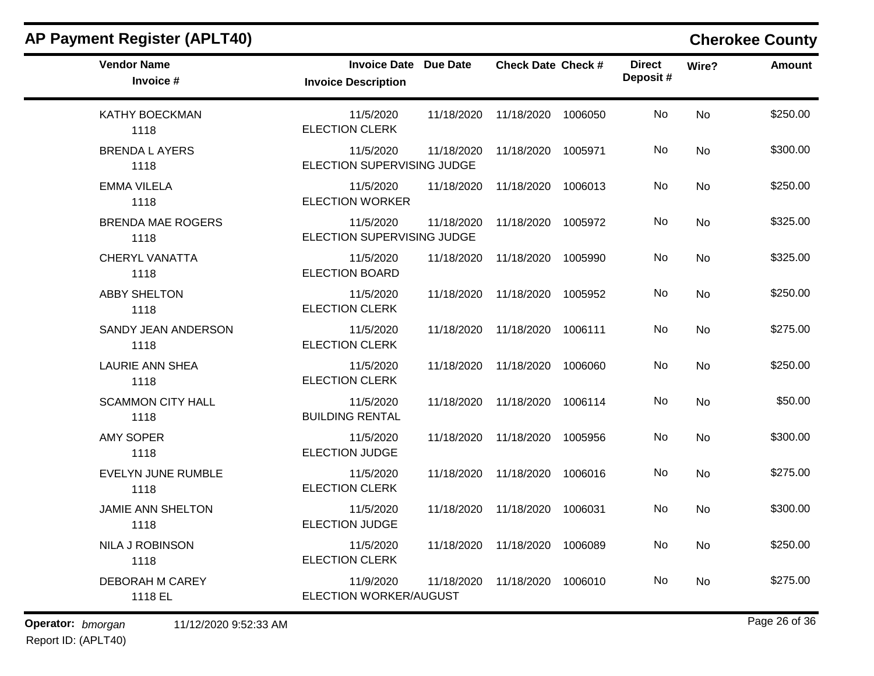| <b>AP Payment Register (APLT40)</b> |                                                            |            |                           |         |                           |           | <b>Cherokee County</b> |
|-------------------------------------|------------------------------------------------------------|------------|---------------------------|---------|---------------------------|-----------|------------------------|
| <b>Vendor Name</b><br>Invoice #     | <b>Invoice Date Due Date</b><br><b>Invoice Description</b> |            | <b>Check Date Check #</b> |         | <b>Direct</b><br>Deposit# | Wire?     | <b>Amount</b>          |
| <b>KATHY BOECKMAN</b><br>1118       | 11/5/2020<br><b>ELECTION CLERK</b>                         | 11/18/2020 | 11/18/2020                | 1006050 | No.                       | No        | \$250.00               |
| <b>BRENDA L AYERS</b><br>1118       | 11/5/2020<br>ELECTION SUPERVISING JUDGE                    | 11/18/2020 | 11/18/2020                | 1005971 | No                        | No        | \$300.00               |
| <b>EMMA VILELA</b><br>1118          | 11/5/2020<br><b>ELECTION WORKER</b>                        | 11/18/2020 | 11/18/2020                | 1006013 | No                        | <b>No</b> | \$250.00               |
| <b>BRENDA MAE ROGERS</b><br>1118    | 11/5/2020<br>ELECTION SUPERVISING JUDGE                    | 11/18/2020 | 11/18/2020                | 1005972 | No.                       | <b>No</b> | \$325.00               |
| <b>CHERYL VANATTA</b><br>1118       | 11/5/2020<br><b>ELECTION BOARD</b>                         | 11/18/2020 | 11/18/2020                | 1005990 | No                        | No        | \$325.00               |
| <b>ABBY SHELTON</b><br>1118         | 11/5/2020<br><b>ELECTION CLERK</b>                         | 11/18/2020 | 11/18/2020                | 1005952 | No                        | No        | \$250.00               |
| SANDY JEAN ANDERSON<br>1118         | 11/5/2020<br><b>ELECTION CLERK</b>                         | 11/18/2020 | 11/18/2020                | 1006111 | No                        | <b>No</b> | \$275.00               |
| <b>LAURIE ANN SHEA</b><br>1118      | 11/5/2020<br><b>ELECTION CLERK</b>                         | 11/18/2020 | 11/18/2020                | 1006060 | No.                       | No        | \$250.00               |
| <b>SCAMMON CITY HALL</b><br>1118    | 11/5/2020<br><b>BUILDING RENTAL</b>                        | 11/18/2020 | 11/18/2020                | 1006114 | No                        | No        | \$50.00                |
| <b>AMY SOPER</b><br>1118            | 11/5/2020<br><b>ELECTION JUDGE</b>                         | 11/18/2020 | 11/18/2020                | 1005956 | No                        | <b>No</b> | \$300.00               |
| <b>EVELYN JUNE RUMBLE</b><br>1118   | 11/5/2020<br><b>ELECTION CLERK</b>                         | 11/18/2020 | 11/18/2020                | 1006016 | No                        | <b>No</b> | \$275.00               |
| <b>JAMIE ANN SHELTON</b><br>1118    | 11/5/2020<br><b>ELECTION JUDGE</b>                         | 11/18/2020 | 11/18/2020                | 1006031 | No.                       | No        | \$300.00               |
| <b>NILA J ROBINSON</b><br>1118      | 11/5/2020<br><b>ELECTION CLERK</b>                         | 11/18/2020 | 11/18/2020                | 1006089 | No                        | <b>No</b> | \$250.00               |
| <b>DEBORAH M CAREY</b><br>1118 EL   | 11/9/2020<br><b>ELECTION WORKER/AUGUST</b>                 | 11/18/2020 | 11/18/2020                | 1006010 | No                        | No        | \$275.00               |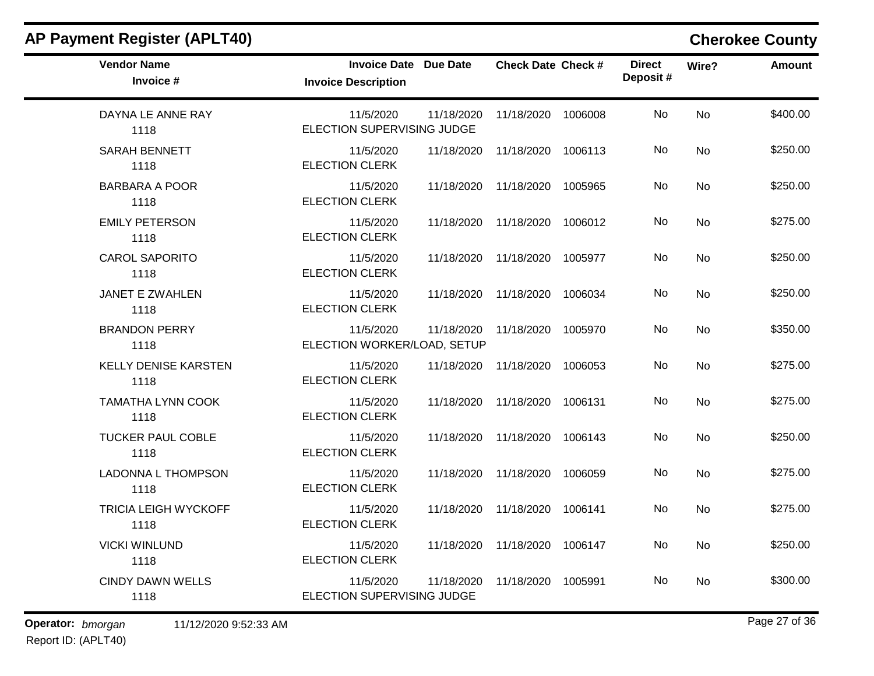| <b>Vendor Name</b><br>Invoice #     | <b>Invoice Date Due Date</b><br><b>Invoice Description</b> |            | <b>Check Date Check #</b>     |         | <b>Direct</b><br>Deposit# | Wire?     | <b>Amount</b> |
|-------------------------------------|------------------------------------------------------------|------------|-------------------------------|---------|---------------------------|-----------|---------------|
| DAYNA LE ANNE RAY<br>1118           | 11/5/2020<br>ELECTION SUPERVISING JUDGE                    | 11/18/2020 | 11/18/2020 1006008            |         | No                        | <b>No</b> | \$400.00      |
| SARAH BENNETT<br>1118               | 11/5/2020<br><b>ELECTION CLERK</b>                         |            | 11/18/2020 11/18/2020 1006113 |         | No.                       | No        | \$250.00      |
| <b>BARBARA A POOR</b><br>1118       | 11/5/2020<br><b>ELECTION CLERK</b>                         |            | 11/18/2020 11/18/2020 1005965 |         | No                        | No        | \$250.00      |
| <b>EMILY PETERSON</b><br>1118       | 11/5/2020<br><b>ELECTION CLERK</b>                         |            | 11/18/2020 11/18/2020 1006012 |         | No                        | <b>No</b> | \$275.00      |
| <b>CAROL SAPORITO</b><br>1118       | 11/5/2020<br><b>ELECTION CLERK</b>                         |            | 11/18/2020 11/18/2020 1005977 |         | No.                       | <b>No</b> | \$250.00      |
| <b>JANET E ZWAHLEN</b><br>1118      | 11/5/2020<br><b>ELECTION CLERK</b>                         |            | 11/18/2020 11/18/2020 1006034 |         | No                        | No        | \$250.00      |
| <b>BRANDON PERRY</b><br>1118        | 11/5/2020<br>ELECTION WORKER/LOAD, SETUP                   |            | 11/18/2020 11/18/2020 1005970 |         | No                        | <b>No</b> | \$350.00      |
| <b>KELLY DENISE KARSTEN</b><br>1118 | 11/5/2020<br><b>ELECTION CLERK</b>                         |            | 11/18/2020 11/18/2020 1006053 |         | No                        | <b>No</b> | \$275.00      |
| <b>TAMATHA LYNN COOK</b><br>1118    | 11/5/2020<br><b>ELECTION CLERK</b>                         |            | 11/18/2020 11/18/2020         | 1006131 | No                        | <b>No</b> | \$275.00      |
| <b>TUCKER PAUL COBLE</b><br>1118    | 11/5/2020<br><b>ELECTION CLERK</b>                         |            | 11/18/2020 11/18/2020 1006143 |         | No                        | <b>No</b> | \$250.00      |
| <b>LADONNA L THOMPSON</b><br>1118   | 11/5/2020<br><b>ELECTION CLERK</b>                         |            | 11/18/2020 11/18/2020 1006059 |         | No                        | <b>No</b> | \$275.00      |
| <b>TRICIA LEIGH WYCKOFF</b><br>1118 | 11/5/2020<br><b>ELECTION CLERK</b>                         |            | 11/18/2020 11/18/2020 1006141 |         | No                        | <b>No</b> | \$275.00      |
| <b>VICKI WINLUND</b><br>1118        | 11/5/2020<br><b>ELECTION CLERK</b>                         |            | 11/18/2020 11/18/2020 1006147 |         | No                        | <b>No</b> | \$250.00      |
| <b>CINDY DAWN WELLS</b><br>1118     | 11/5/2020<br>ELECTION SUPERVISING JUDGE                    | 11/18/2020 | 11/18/2020 1005991            |         | No                        | No        | \$300.00      |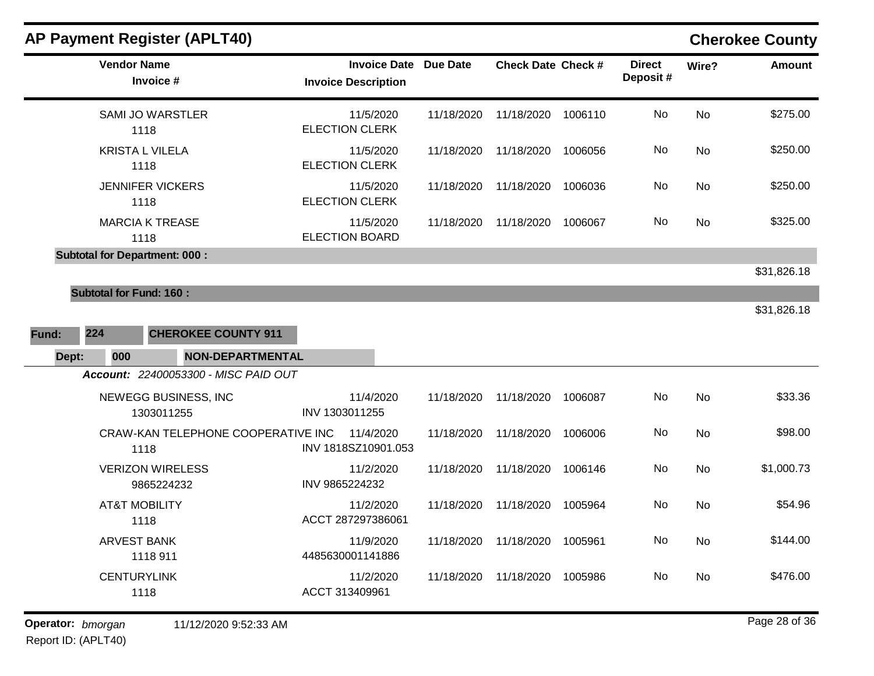| <b>AP Payment Register (APLT40)</b>        |                                                   |                 |                           |         |                           |                | <b>Cherokee County</b> |
|--------------------------------------------|---------------------------------------------------|-----------------|---------------------------|---------|---------------------------|----------------|------------------------|
| <b>Vendor Name</b><br>Invoice #            | <b>Invoice Date</b><br><b>Invoice Description</b> | <b>Due Date</b> | <b>Check Date Check #</b> |         | <b>Direct</b><br>Deposit# | Wire?          | <b>Amount</b>          |
| <b>SAMI JO WARSTLER</b><br>1118            | 11/5/2020<br><b>ELECTION CLERK</b>                | 11/18/2020      | 11/18/2020                | 1006110 | No.                       | No             | \$275.00               |
| <b>KRISTA L VILELA</b><br>1118             | 11/5/2020<br><b>ELECTION CLERK</b>                | 11/18/2020      | 11/18/2020                | 1006056 | No                        | No             | \$250.00               |
| <b>JENNIFER VICKERS</b><br>1118            | 11/5/2020<br><b>ELECTION CLERK</b>                | 11/18/2020      | 11/18/2020                | 1006036 | No.                       | No             | \$250.00               |
| <b>MARCIA K TREASE</b><br>1118             | 11/5/2020<br><b>ELECTION BOARD</b>                | 11/18/2020      | 11/18/2020                | 1006067 | No                        | No             | \$325.00               |
| <b>Subtotal for Department: 000:</b>       |                                                   |                 |                           |         |                           |                |                        |
|                                            |                                                   |                 |                           |         |                           |                | \$31,826.18            |
| <b>Subtotal for Fund: 160:</b>             |                                                   |                 |                           |         |                           |                | \$31,826.18            |
| 224<br><b>CHEROKEE COUNTY 911</b><br>Fund: |                                                   |                 |                           |         |                           |                |                        |
| Dept:<br>000<br><b>NON-DEPARTMENTAL</b>    |                                                   |                 |                           |         |                           |                |                        |
| Account: 22400053300 - MISC PAID OUT       |                                                   |                 |                           |         |                           |                |                        |
| NEWEGG BUSINESS, INC<br>1303011255         | 11/4/2020<br>INV 1303011255                       | 11/18/2020      | 11/18/2020                | 1006087 | No                        | <b>No</b>      | \$33.36                |
| CRAW-KAN TELEPHONE COOPERATIVE INC<br>1118 | 11/4/2020<br>INV 1818SZ10901.053                  | 11/18/2020      | 11/18/2020                | 1006006 | No                        | <b>No</b>      | \$98.00                |
| <b>VERIZON WIRELESS</b><br>9865224232      | 11/2/2020<br>INV 9865224232                       | 11/18/2020      | 11/18/2020                | 1006146 | No                        | No             | \$1,000.73             |
| <b>AT&amp;T MOBILITY</b><br>1118           | 11/2/2020<br>ACCT 287297386061                    | 11/18/2020      | 11/18/2020                | 1005964 | No                        | N <sub>o</sub> | \$54.96                |
| <b>ARVEST BANK</b><br>1118 911             | 11/9/2020<br>4485630001141886                     | 11/18/2020      | 11/18/2020                | 1005961 | No.                       | No             | \$144.00               |
| <b>CENTURYLINK</b><br>1118                 | 11/2/2020<br>ACCT 313409961                       | 11/18/2020      | 11/18/2020                | 1005986 | No                        | No             | \$476.00               |
|                                            |                                                   |                 |                           |         |                           |                |                        |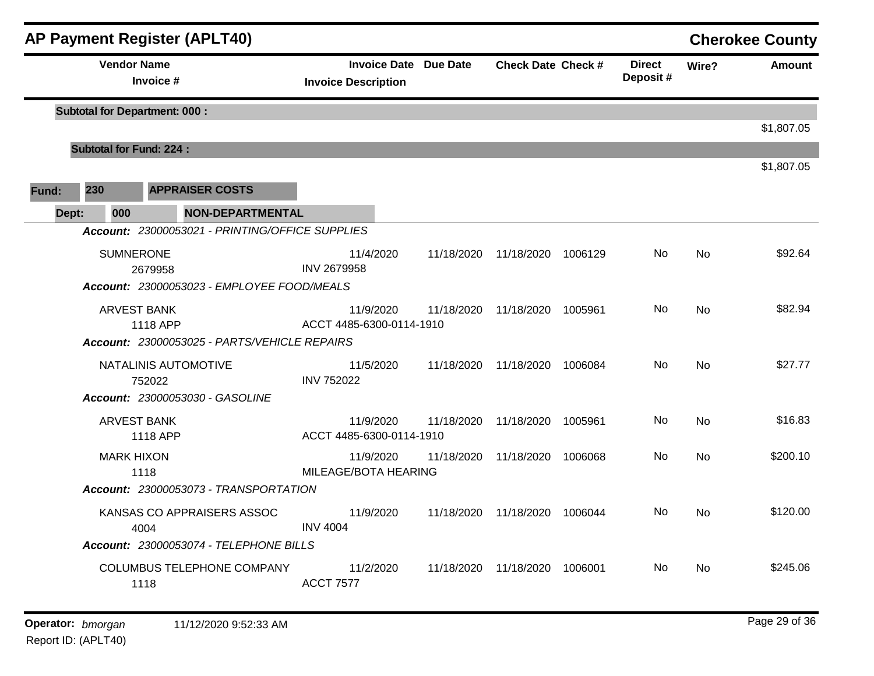|       |                                      |                                 | <b>AP Payment Register (APLT40)</b>             |                            |           |                              |                                 |         |                           |                | <b>Cherokee County</b> |
|-------|--------------------------------------|---------------------------------|-------------------------------------------------|----------------------------|-----------|------------------------------|---------------------------------|---------|---------------------------|----------------|------------------------|
|       |                                      | <b>Vendor Name</b><br>Invoice # |                                                 | <b>Invoice Description</b> |           | <b>Invoice Date Due Date</b> | <b>Check Date Check #</b>       |         | <b>Direct</b><br>Deposit# | Wire?          | <b>Amount</b>          |
|       | <b>Subtotal for Department: 000:</b> |                                 |                                                 |                            |           |                              |                                 |         |                           |                |                        |
|       |                                      | <b>Subtotal for Fund: 224:</b>  |                                                 |                            |           |                              |                                 |         |                           |                | \$1,807.05             |
|       |                                      |                                 |                                                 |                            |           |                              |                                 |         |                           |                | \$1,807.05             |
| Fund: | 230                                  |                                 | <b>APPRAISER COSTS</b>                          |                            |           |                              |                                 |         |                           |                |                        |
|       | Dept:                                | 000                             | <b>NON-DEPARTMENTAL</b>                         |                            |           |                              |                                 |         |                           |                |                        |
|       |                                      |                                 | Account: 23000053021 - PRINTING/OFFICE SUPPLIES |                            |           |                              |                                 |         |                           |                |                        |
|       |                                      | <b>SUMNERONE</b>                |                                                 |                            | 11/4/2020 |                              | 11/18/2020 11/18/2020 1006129   |         | No.                       | No             | \$92.64                |
|       |                                      | 2679958                         | Account: 23000053023 - EMPLOYEE FOOD/MEALS      | <b>INV 2679958</b>         |           |                              |                                 |         |                           |                |                        |
|       |                                      |                                 |                                                 |                            |           |                              |                                 |         |                           |                |                        |
|       |                                      | ARVEST BANK<br>1118 APP         |                                                 | ACCT 4485-6300-0114-1910   | 11/9/2020 |                              | 11/18/2020  11/18/2020  1005961 |         | No.                       | <b>No</b>      | \$82.94                |
|       |                                      |                                 | Account: 23000053025 - PARTS/VEHICLE REPAIRS    |                            |           |                              |                                 |         |                           |                |                        |
|       |                                      |                                 | NATALINIS AUTOMOTIVE                            |                            | 11/5/2020 |                              | 11/18/2020 11/18/2020 1006084   |         | No                        | No             | \$27.77                |
|       |                                      | 752022                          |                                                 | <b>INV 752022</b>          |           |                              |                                 |         |                           |                |                        |
|       |                                      |                                 | Account: 23000053030 - GASOLINE                 |                            |           |                              |                                 |         |                           |                |                        |
|       |                                      | <b>ARVEST BANK</b>              |                                                 |                            | 11/9/2020 |                              | 11/18/2020 11/18/2020 1005961   |         | No.                       | No             | \$16.83                |
|       |                                      | 1118 APP                        |                                                 | ACCT 4485-6300-0114-1910   |           |                              |                                 |         |                           |                |                        |
|       |                                      | <b>MARK HIXON</b>               |                                                 | MILEAGE/BOTA HEARING       | 11/9/2020 | 11/18/2020                   | 11/18/2020                      | 1006068 | No.                       | <b>No</b>      | \$200.10               |
|       |                                      | 1118                            | Account: 23000053073 - TRANSPORTATION           |                            |           |                              |                                 |         |                           |                |                        |
|       |                                      |                                 |                                                 |                            |           |                              |                                 |         |                           |                |                        |
|       |                                      | 4004                            | KANSAS CO APPRAISERS ASSOC                      | <b>INV 4004</b>            | 11/9/2020 |                              | 11/18/2020 11/18/2020 1006044   |         | No.                       | No             | \$120.00               |
|       |                                      |                                 | Account: 23000053074 - TELEPHONE BILLS          |                            |           |                              |                                 |         |                           |                |                        |
|       |                                      |                                 | <b>COLUMBUS TELEPHONE COMPANY</b>               |                            | 11/2/2020 |                              | 11/18/2020  11/18/2020  1006001 |         | No.                       | N <sub>o</sub> | \$245.06               |
|       |                                      | 1118                            |                                                 | <b>ACCT 7577</b>           |           |                              |                                 |         |                           |                |                        |
|       |                                      |                                 |                                                 |                            |           |                              |                                 |         |                           |                |                        |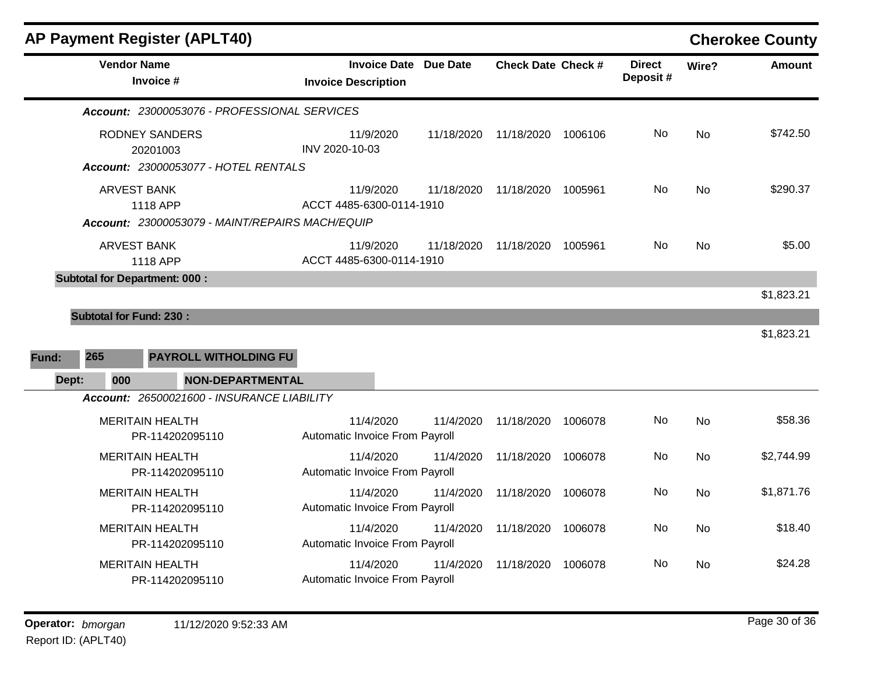|       |                                           | <b>AP Payment Register (APLT40)</b>             |                                                            |            |                           |         |                           |           | <b>Cherokee County</b> |
|-------|-------------------------------------------|-------------------------------------------------|------------------------------------------------------------|------------|---------------------------|---------|---------------------------|-----------|------------------------|
|       | <b>Vendor Name</b>                        | Invoice #                                       | <b>Invoice Date Due Date</b><br><b>Invoice Description</b> |            | <b>Check Date Check #</b> |         | <b>Direct</b><br>Deposit# | Wire?     | <b>Amount</b>          |
|       |                                           | Account: 23000053076 - PROFESSIONAL SERVICES    |                                                            |            |                           |         |                           |           |                        |
|       | <b>RODNEY SANDERS</b>                     | 20201003                                        | 11/9/2020<br>INV 2020-10-03                                | 11/18/2020 | 11/18/2020                | 1006106 | No                        | <b>No</b> | \$742.50               |
|       |                                           | Account: 23000053077 - HOTEL RENTALS            |                                                            |            |                           |         |                           |           |                        |
|       | <b>ARVEST BANK</b>                        | 1118 APP                                        | 11/9/2020<br>ACCT 4485-6300-0114-1910                      | 11/18/2020 | 11/18/2020                | 1005961 | No                        | <b>No</b> | \$290.37               |
|       |                                           | Account: 23000053079 - MAINT/REPAIRS MACH/EQUIP |                                                            |            |                           |         |                           |           |                        |
|       | <b>ARVEST BANK</b>                        | 1118 APP                                        | 11/9/2020<br>ACCT 4485-6300-0114-1910                      | 11/18/2020 | 11/18/2020                | 1005961 | No.                       | <b>No</b> | \$5.00                 |
|       | <b>Subtotal for Department: 000:</b>      |                                                 |                                                            |            |                           |         |                           |           |                        |
|       |                                           |                                                 |                                                            |            |                           |         |                           |           | \$1,823.21             |
|       | <b>Subtotal for Fund: 230:</b>            |                                                 |                                                            |            |                           |         |                           |           |                        |
|       |                                           |                                                 |                                                            |            |                           |         |                           |           | \$1,823.21             |
| Fund: | 265                                       | <b>PAYROLL WITHOLDING FU</b>                    |                                                            |            |                           |         |                           |           |                        |
| Dept: | 000                                       | <b>NON-DEPARTMENTAL</b>                         |                                                            |            |                           |         |                           |           |                        |
|       |                                           | Account: 26500021600 - INSURANCE LIABILITY      |                                                            |            |                           |         |                           |           |                        |
|       | <b>MERITAIN HEALTH</b>                    | PR-114202095110                                 | 11/4/2020<br>Automatic Invoice From Payroll                | 11/4/2020  | 11/18/2020                | 1006078 | No                        | <b>No</b> | \$58.36                |
|       | <b>MERITAIN HEALTH</b>                    | PR-114202095110                                 | 11/4/2020<br>Automatic Invoice From Payroll                | 11/4/2020  | 11/18/2020                | 1006078 | No.                       | No        | \$2,744.99             |
|       | <b>MERITAIN HEALTH</b>                    | PR-114202095110                                 | 11/4/2020<br>Automatic Invoice From Payroll                | 11/4/2020  | 11/18/2020                | 1006078 | No.                       | No        | \$1,871.76             |
|       | <b>MERITAIN HEALTH</b><br>PR-114202095110 |                                                 | 11/4/2020<br>Automatic Invoice From Payroll                | 11/4/2020  | 11/18/2020                | 1006078 | No                        | <b>No</b> | \$18.40                |
|       | <b>MERITAIN HEALTH</b>                    | PR-114202095110                                 | 11/4/2020<br>Automatic Invoice From Payroll                | 11/4/2020  | 11/18/2020                | 1006078 | <b>No</b>                 | No        | \$24.28                |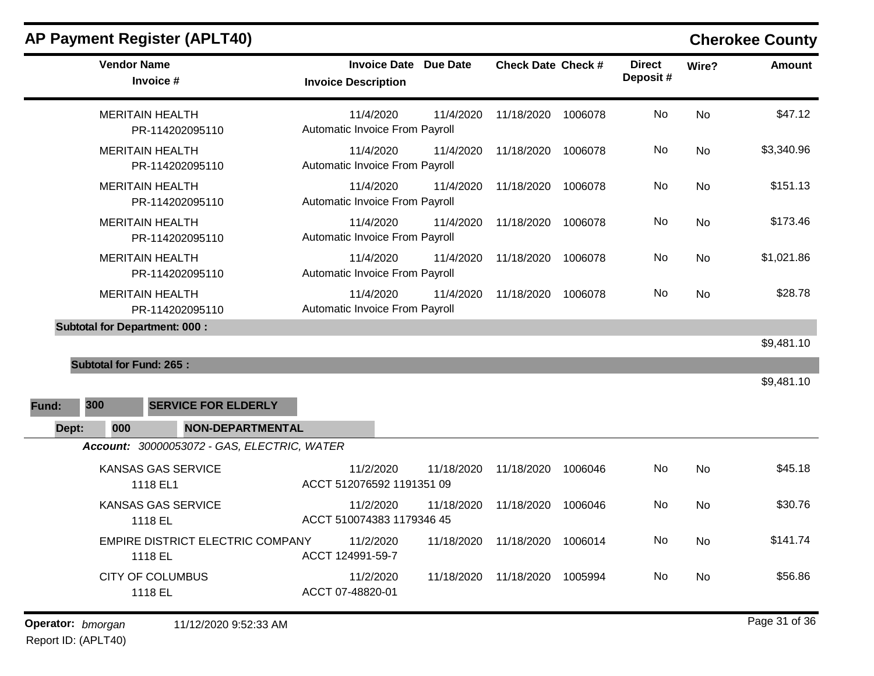| <b>Vendor Name</b><br>Invoice #                                               | <b>Invoice Date Due Date</b><br><b>Invoice Description</b> |            | <b>Check Date Check #</b> |         | <b>Direct</b><br>Deposit# | Wire?     | <b>Amount</b> |
|-------------------------------------------------------------------------------|------------------------------------------------------------|------------|---------------------------|---------|---------------------------|-----------|---------------|
| <b>MERITAIN HEALTH</b><br>PR-114202095110                                     | 11/4/2020<br>Automatic Invoice From Payroll                | 11/4/2020  | 11/18/2020                | 1006078 | No                        | <b>No</b> | \$47.12       |
| <b>MERITAIN HEALTH</b><br>PR-114202095110                                     | 11/4/2020<br>Automatic Invoice From Payroll                | 11/4/2020  | 11/18/2020                | 1006078 | No                        | <b>No</b> | \$3,340.96    |
| <b>MERITAIN HEALTH</b><br>PR-114202095110                                     | 11/4/2020<br>Automatic Invoice From Payroll                | 11/4/2020  | 11/18/2020                | 1006078 | No                        | <b>No</b> | \$151.13      |
| <b>MERITAIN HEALTH</b><br>PR-114202095110                                     | 11/4/2020<br>Automatic Invoice From Payroll                | 11/4/2020  | 11/18/2020                | 1006078 | No                        | <b>No</b> | \$173.46      |
| <b>MERITAIN HEALTH</b><br>PR-114202095110                                     | 11/4/2020<br>Automatic Invoice From Payroll                | 11/4/2020  | 11/18/2020                | 1006078 | No.                       | <b>No</b> | \$1,021.86    |
| <b>MERITAIN HEALTH</b><br>PR-114202095110                                     | 11/4/2020<br>Automatic Invoice From Payroll                | 11/4/2020  | 11/18/2020                | 1006078 | No                        | <b>No</b> | \$28.78       |
| <b>Subtotal for Department: 000:</b>                                          |                                                            |            |                           |         |                           |           | \$9,481.10    |
| <b>Subtotal for Fund: 265:</b>                                                |                                                            |            |                           |         |                           |           | \$9,481.10    |
| 300<br><b>SERVICE FOR ELDERLY</b><br>Fund:                                    |                                                            |            |                           |         |                           |           |               |
| Dept:<br>000<br><b>NON-DEPARTMENTAL</b>                                       |                                                            |            |                           |         |                           |           |               |
| Account: 30000053072 - GAS, ELECTRIC, WATER<br>KANSAS GAS SERVICE<br>1118 EL1 | 11/2/2020<br>ACCT 512076592 1191351 09                     | 11/18/2020 | 11/18/2020                | 1006046 | No.                       | No        | \$45.18       |
| KANSAS GAS SERVICE<br>1118 EL                                                 | 11/2/2020<br>ACCT 510074383 1179346 45                     | 11/18/2020 | 11/18/2020                | 1006046 | No                        | No        | \$30.76       |
| <b>EMPIRE DISTRICT ELECTRIC COMPANY</b><br>1118 EL                            | 11/2/2020<br>ACCT 124991-59-7                              | 11/18/2020 | 11/18/2020                | 1006014 | No.                       | <b>No</b> | \$141.74      |
| <b>CITY OF COLUMBUS</b><br>1118 EL                                            | 11/2/2020<br>ACCT 07-48820-01                              | 11/18/2020 | 11/18/2020                | 1005994 | No                        | <b>No</b> | \$56.86       |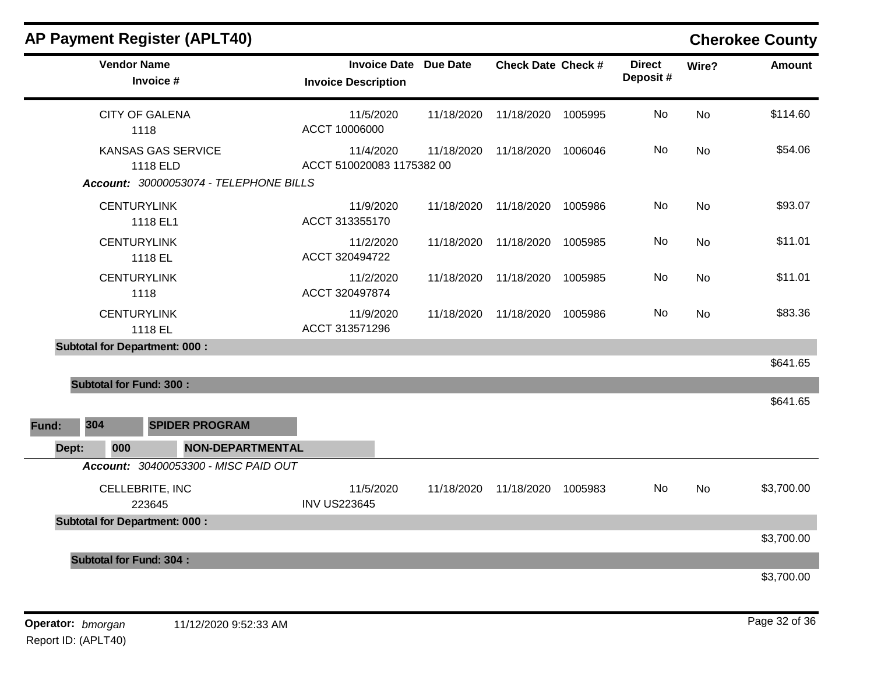|              | <b>AP Payment Register (APLT40)</b>                                             |                                                   |                 |                           |         |                            |           | <b>Cherokee County</b> |
|--------------|---------------------------------------------------------------------------------|---------------------------------------------------|-----------------|---------------------------|---------|----------------------------|-----------|------------------------|
|              | <b>Vendor Name</b><br>Invoice #                                                 | <b>Invoice Date</b><br><b>Invoice Description</b> | <b>Due Date</b> | <b>Check Date Check #</b> |         | <b>Direct</b><br>Deposit # | Wire?     | <b>Amount</b>          |
|              | <b>CITY OF GALENA</b><br>1118                                                   | 11/5/2020<br>ACCT 10006000                        | 11/18/2020      | 11/18/2020                | 1005995 | No                         | <b>No</b> | \$114.60               |
|              | <b>KANSAS GAS SERVICE</b><br>1118 ELD<br>Account: 30000053074 - TELEPHONE BILLS | 11/4/2020<br>ACCT 510020083 1175382 00            | 11/18/2020      | 11/18/2020                | 1006046 | No                         | <b>No</b> | \$54.06                |
|              | <b>CENTURYLINK</b><br>1118 EL1                                                  | 11/9/2020<br>ACCT 313355170                       | 11/18/2020      | 11/18/2020                | 1005986 | No                         | <b>No</b> | \$93.07                |
|              | <b>CENTURYLINK</b><br>1118 EL                                                   | 11/2/2020<br>ACCT 320494722                       | 11/18/2020      | 11/18/2020                | 1005985 | No                         | No        | \$11.01                |
|              | <b>CENTURYLINK</b><br>1118                                                      | 11/2/2020<br>ACCT 320497874                       | 11/18/2020      | 11/18/2020                | 1005985 | No                         | <b>No</b> | \$11.01                |
|              | <b>CENTURYLINK</b><br>1118 EL                                                   | 11/9/2020<br>ACCT 313571296                       | 11/18/2020      | 11/18/2020                | 1005986 | No                         | <b>No</b> | \$83.36                |
|              | <b>Subtotal for Department: 000:</b>                                            |                                                   |                 |                           |         |                            |           | \$641.65               |
|              | <b>Subtotal for Fund: 300:</b>                                                  |                                                   |                 |                           |         |                            |           |                        |
|              |                                                                                 |                                                   |                 |                           |         |                            |           |                        |
|              |                                                                                 |                                                   |                 |                           |         |                            |           |                        |
| 304<br>Fund: | <b>SPIDER PROGRAM</b>                                                           |                                                   |                 |                           |         |                            |           | \$641.65               |
| Dept:        | 000                                                                             | <b>NON-DEPARTMENTAL</b>                           |                 |                           |         |                            |           |                        |
|              | Account: 30400053300 - MISC PAID OUT                                            |                                                   |                 |                           |         |                            |           |                        |
|              | CELLEBRITE, INC<br>223645                                                       | 11/5/2020<br><b>INV US223645</b>                  | 11/18/2020      | 11/18/2020                | 1005983 | No                         | No        |                        |
|              | <b>Subtotal for Department: 000:</b>                                            |                                                   |                 |                           |         |                            |           | \$3,700.00             |

\$3,700.00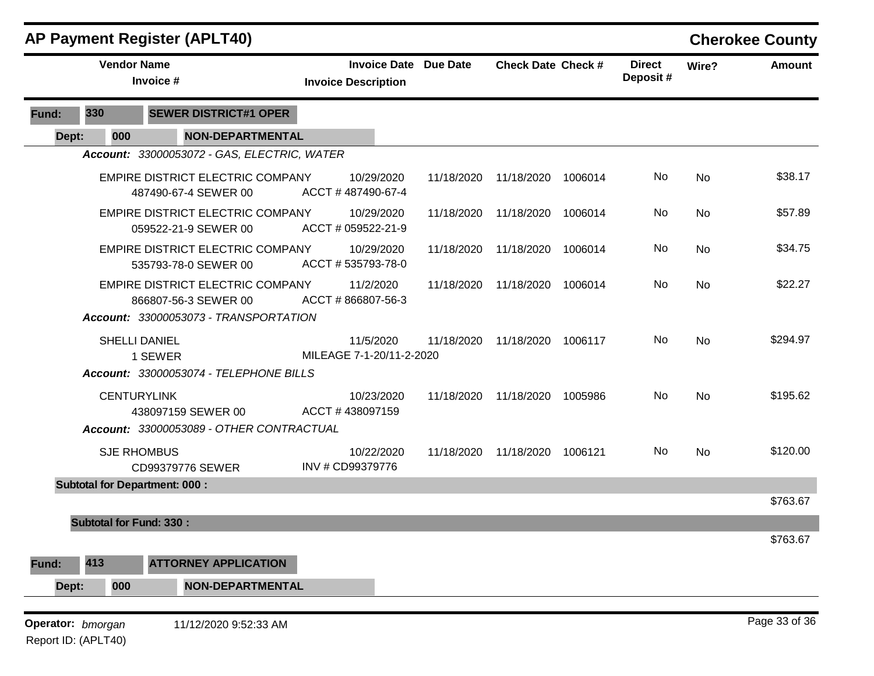|       |                                | <b>AP Payment Register (APLT40)</b>                             |                                       |            |                              |                           |         |                           |           | <b>Cherokee County</b> |
|-------|--------------------------------|-----------------------------------------------------------------|---------------------------------------|------------|------------------------------|---------------------------|---------|---------------------------|-----------|------------------------|
|       |                                | <b>Vendor Name</b><br>Invoice #                                 | <b>Invoice Description</b>            |            | <b>Invoice Date Due Date</b> | <b>Check Date Check #</b> |         | <b>Direct</b><br>Deposit# | Wire?     | <b>Amount</b>          |
| Fund: | 330                            | <b>SEWER DISTRICT#1 OPER</b>                                    |                                       |            |                              |                           |         |                           |           |                        |
| Dept: | 000                            | <b>NON-DEPARTMENTAL</b>                                         |                                       |            |                              |                           |         |                           |           |                        |
|       |                                | Account: 33000053072 - GAS, ELECTRIC, WATER                     |                                       |            |                              |                           |         |                           |           |                        |
|       |                                | EMPIRE DISTRICT ELECTRIC COMPANY<br>487490-67-4 SEWER 00        | ACCT #487490-67-4                     | 10/29/2020 | 11/18/2020                   | 11/18/2020                | 1006014 | No                        | No        | \$38.17                |
|       |                                | EMPIRE DISTRICT ELECTRIC COMPANY<br>059522-21-9 SEWER 00        | ACCT # 059522-21-9                    | 10/29/2020 | 11/18/2020                   | 11/18/2020                | 1006014 | No                        | No        | \$57.89                |
|       |                                | <b>EMPIRE DISTRICT ELECTRIC COMPANY</b><br>535793-78-0 SEWER 00 | ACCT #535793-78-0                     | 10/29/2020 | 11/18/2020                   | 11/18/2020                | 1006014 | No                        | No        | \$34.75                |
|       |                                | <b>EMPIRE DISTRICT ELECTRIC COMPANY</b><br>866807-56-3 SEWER 00 | 11/2/2020<br>ACCT #866807-56-3        |            | 11/18/2020                   | 11/18/2020                | 1006014 | No                        | <b>No</b> | \$22.27                |
|       |                                | Account: 33000053073 - TRANSPORTATION                           |                                       |            |                              |                           |         |                           |           |                        |
|       |                                | <b>SHELLI DANIEL</b><br>1 SEWER                                 | 11/5/2020<br>MILEAGE 7-1-20/11-2-2020 |            | 11/18/2020                   | 11/18/2020                | 1006117 | No                        | <b>No</b> | \$294.97               |
|       |                                | Account: 33000053074 - TELEPHONE BILLS                          |                                       |            |                              |                           |         |                           |           |                        |
|       |                                | <b>CENTURYLINK</b><br>438097159 SEWER 00                        | ACCT #438097159                       | 10/23/2020 | 11/18/2020                   | 11/18/2020                | 1005986 | No                        | No        | \$195.62               |
|       |                                | Account: 33000053089 - OTHER CONTRACTUAL                        |                                       |            |                              |                           |         |                           |           |                        |
|       |                                | <b>SJE RHOMBUS</b><br>CD99379776 SEWER                          | INV # CD99379776                      | 10/22/2020 | 11/18/2020                   | 11/18/2020                | 1006121 | No.                       | No        | \$120.00               |
|       |                                | <b>Subtotal for Department: 000:</b>                            |                                       |            |                              |                           |         |                           |           |                        |
|       |                                |                                                                 |                                       |            |                              |                           |         |                           |           | \$763.67               |
|       | <b>Subtotal for Fund: 330:</b> |                                                                 |                                       |            |                              |                           |         |                           |           | \$763.67               |
| Fund: | 413                            | <b>ATTORNEY APPLICATION</b>                                     |                                       |            |                              |                           |         |                           |           |                        |
| Dept: | 000                            | <b>NON-DEPARTMENTAL</b>                                         |                                       |            |                              |                           |         |                           |           |                        |
|       | Operator: bmorgan              | 11/12/2020 9:52:33 AM                                           |                                       |            |                              |                           |         |                           |           | Page 33 of 36          |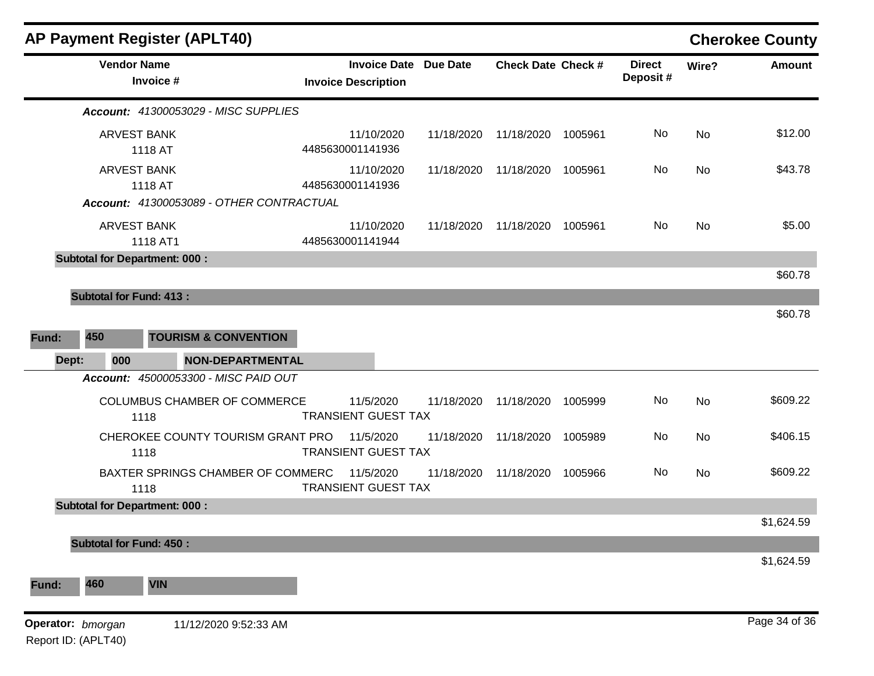| <b>AP Payment Register (APLT40)</b>                                                        |                                                   |                 |                           |         |                           |           | <b>Cherokee County</b> |
|--------------------------------------------------------------------------------------------|---------------------------------------------------|-----------------|---------------------------|---------|---------------------------|-----------|------------------------|
| <b>Vendor Name</b><br>Invoice #                                                            | <b>Invoice Date</b><br><b>Invoice Description</b> | <b>Due Date</b> | <b>Check Date Check #</b> |         | <b>Direct</b><br>Deposit# | Wire?     | <b>Amount</b>          |
| Account: 41300053029 - MISC SUPPLIES                                                       |                                                   |                 |                           |         |                           |           |                        |
| <b>ARVEST BANK</b><br>1118 AT                                                              | 11/10/2020<br>4485630001141936                    | 11/18/2020      | 11/18/2020                | 1005961 | No                        | <b>No</b> | \$12.00                |
| <b>ARVEST BANK</b><br>1118 AT                                                              | 11/10/2020<br>4485630001141936                    | 11/18/2020      | 11/18/2020                | 1005961 | No                        | <b>No</b> | \$43.78                |
| Account: 41300053089 - OTHER CONTRACTUAL<br><b>ARVEST BANK</b><br>1118 AT1                 | 11/10/2020<br>4485630001141944                    | 11/18/2020      | 11/18/2020                | 1005961 | No.                       | No        | \$5.00                 |
| <b>Subtotal for Department: 000:</b>                                                       |                                                   |                 |                           |         |                           |           | \$60.78                |
| <b>Subtotal for Fund: 413:</b>                                                             |                                                   |                 |                           |         |                           |           |                        |
| 450<br><b>TOURISM &amp; CONVENTION</b><br>Fund:<br>000<br><b>NON-DEPARTMENTAL</b><br>Dept: |                                                   |                 |                           |         |                           |           |                        |
| Account: 45000053300 - MISC PAID OUT<br>COLUMBUS CHAMBER OF COMMERCE<br>1118               | 11/5/2020<br><b>TRANSIENT GUEST TAX</b>           | 11/18/2020      | 11/18/2020                | 1005999 | No                        | No        | \$609.22               |
| CHEROKEE COUNTY TOURISM GRANT PRO<br>1118                                                  | 11/5/2020<br><b>TRANSIENT GUEST TAX</b>           | 11/18/2020      | 11/18/2020                | 1005989 | No                        | <b>No</b> | \$406.15               |
| BAXTER SPRINGS CHAMBER OF COMMERC<br>1118                                                  | 11/5/2020<br><b>TRANSIENT GUEST TAX</b>           | 11/18/2020      | 11/18/2020                | 1005966 | No                        | No        | \$609.22               |
| <b>Subtotal for Department: 000:</b>                                                       |                                                   |                 |                           |         |                           |           |                        |
| <b>Subtotal for Fund: 450:</b>                                                             |                                                   |                 |                           |         |                           |           | \$1,624.59             |
|                                                                                            |                                                   |                 |                           |         |                           |           | \$1,624.59             |
| 460<br><b>VIN</b><br>Fund:                                                                 |                                                   |                 |                           |         |                           |           |                        |
| Operator: bmorgan<br>11/12/2020 9:52:33 AM<br>Report ID: (APLT40)                          |                                                   |                 |                           |         |                           |           | Page 34 of 36          |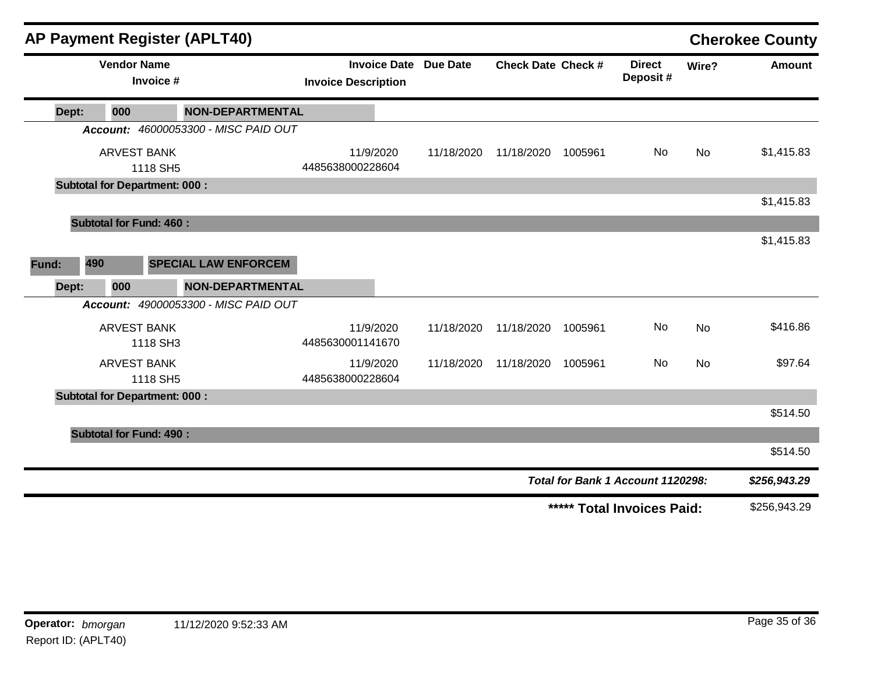|       |                                      |                                 | <b>AP Payment Register (APLT40)</b>  |                               |           |                              |                           |         |                                   |           | <b>Cherokee County</b> |
|-------|--------------------------------------|---------------------------------|--------------------------------------|-------------------------------|-----------|------------------------------|---------------------------|---------|-----------------------------------|-----------|------------------------|
|       |                                      | <b>Vendor Name</b><br>Invoice # |                                      | <b>Invoice Description</b>    |           | <b>Invoice Date Due Date</b> | <b>Check Date Check #</b> |         | <b>Direct</b><br>Deposit#         | Wire?     | <b>Amount</b>          |
| Dept: | 000                                  |                                 | <b>NON-DEPARTMENTAL</b>              |                               |           |                              |                           |         |                                   |           |                        |
|       |                                      |                                 | Account: 46000053300 - MISC PAID OUT |                               |           |                              |                           |         |                                   |           |                        |
|       |                                      | <b>ARVEST BANK</b><br>1118 SH5  |                                      | 11/9/2020<br>4485638000228604 |           | 11/18/2020                   | 11/18/2020                | 1005961 | No                                | No        | \$1,415.83             |
|       | <b>Subtotal for Department: 000:</b> |                                 |                                      |                               |           |                              |                           |         |                                   |           |                        |
|       |                                      |                                 |                                      |                               |           |                              |                           |         |                                   |           | \$1,415.83             |
|       | <b>Subtotal for Fund: 460:</b>       |                                 |                                      |                               |           |                              |                           |         |                                   |           |                        |
|       |                                      |                                 |                                      |                               |           |                              |                           |         |                                   |           | \$1,415.83             |
| Fund: | 490                                  |                                 | <b>SPECIAL LAW ENFORCEM</b>          |                               |           |                              |                           |         |                                   |           |                        |
| Dept: | 000                                  |                                 | <b>NON-DEPARTMENTAL</b>              |                               |           |                              |                           |         |                                   |           |                        |
|       |                                      |                                 | Account: 49000053300 - MISC PAID OUT |                               |           |                              |                           |         |                                   |           |                        |
|       |                                      | <b>ARVEST BANK</b><br>1118 SH3  |                                      | 11/9/2020<br>4485630001141670 |           | 11/18/2020                   | 11/18/2020                | 1005961 | No                                | <b>No</b> | \$416.86               |
|       |                                      | <b>ARVEST BANK</b>              |                                      |                               | 11/9/2020 | 11/18/2020                   | 11/18/2020                | 1005961 | No                                | <b>No</b> | \$97.64                |
|       | <b>Subtotal for Department: 000:</b> | 1118 SH5                        |                                      | 4485638000228604              |           |                              |                           |         |                                   |           |                        |
|       |                                      |                                 |                                      |                               |           |                              |                           |         |                                   |           | \$514.50               |
|       | <b>Subtotal for Fund: 490:</b>       |                                 |                                      |                               |           |                              |                           |         |                                   |           |                        |
|       |                                      |                                 |                                      |                               |           |                              |                           |         |                                   |           | \$514.50               |
|       |                                      |                                 |                                      |                               |           |                              |                           |         | Total for Bank 1 Account 1120298: |           | \$256,943.29           |
|       |                                      |                                 |                                      |                               |           |                              |                           |         | ***** Total Invoices Paid:        |           | \$256,943.29           |